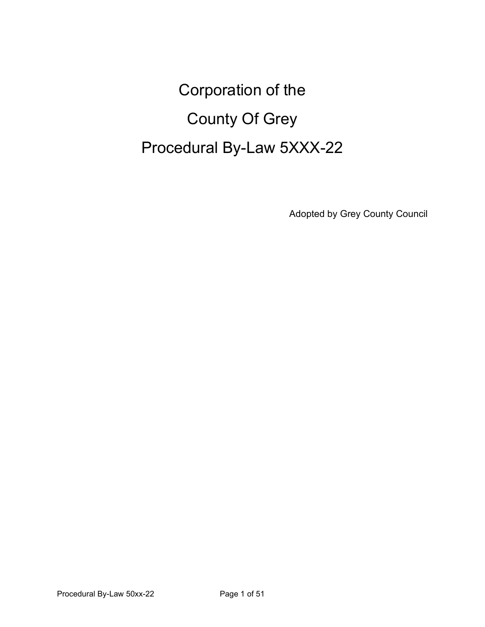# Corporation of the County Of Grey Procedural By-Law 5XXX-22

Adopted by Grey County Council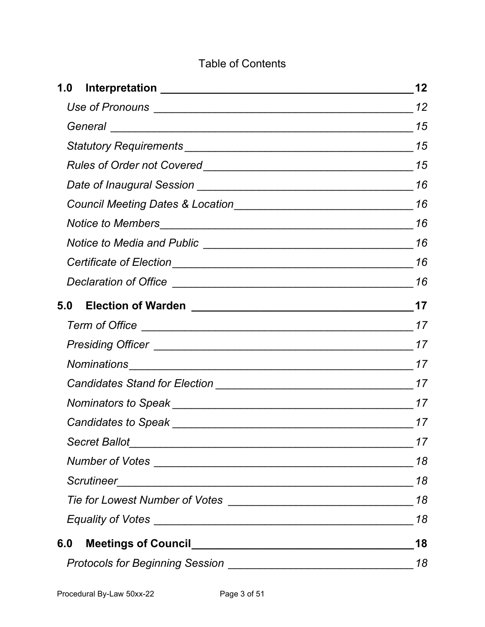### Table of Contents

|     | 12 |
|-----|----|
|     |    |
|     |    |
|     |    |
|     |    |
|     | 16 |
|     |    |
|     |    |
|     |    |
|     |    |
|     |    |
|     |    |
|     |    |
|     |    |
|     |    |
|     |    |
|     |    |
|     | 17 |
|     | 17 |
|     | 18 |
|     | 18 |
|     | 18 |
|     | 18 |
| 6.0 | 18 |
|     | 18 |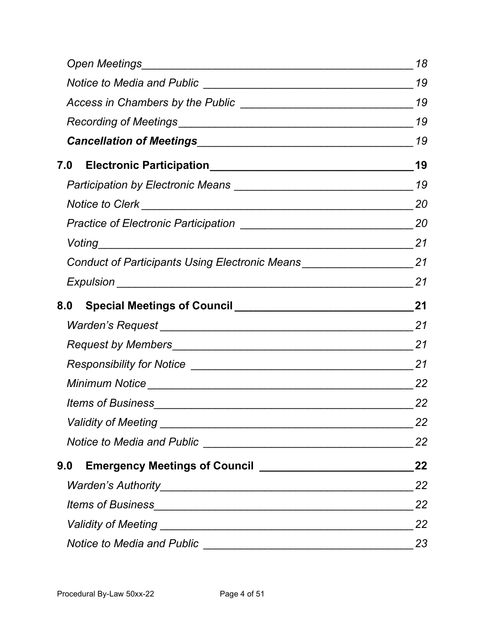|                                                                                   | 18 |
|-----------------------------------------------------------------------------------|----|
|                                                                                   | 19 |
|                                                                                   | 19 |
|                                                                                   | 19 |
| Cancellation of Meetings 19                                                       |    |
|                                                                                   |    |
|                                                                                   |    |
| Notice to Clerk 20                                                                |    |
|                                                                                   |    |
| Voting 21                                                                         |    |
| Conduct of Participants Using Electronic Means ________________________________21 |    |
|                                                                                   |    |
|                                                                                   |    |
|                                                                                   |    |
|                                                                                   |    |
|                                                                                   |    |
|                                                                                   |    |
|                                                                                   | 22 |
|                                                                                   | 22 |
|                                                                                   | 22 |
|                                                                                   | 22 |
|                                                                                   | 22 |
|                                                                                   | 22 |
|                                                                                   | 22 |
|                                                                                   | 23 |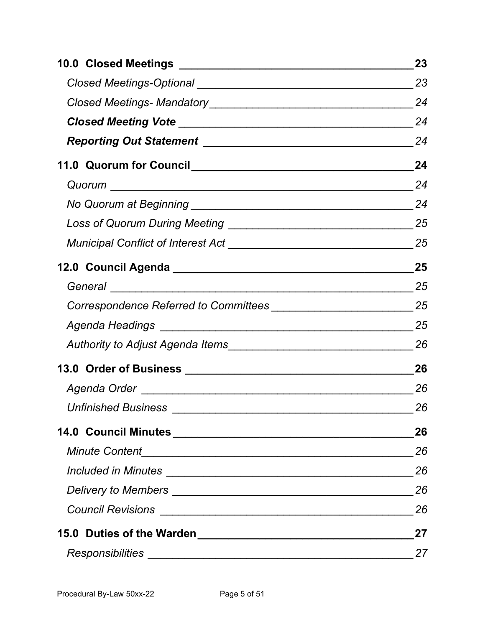|                            | 23 |
|----------------------------|----|
|                            | 23 |
|                            | 24 |
|                            |    |
|                            |    |
|                            |    |
|                            |    |
|                            |    |
|                            |    |
|                            |    |
|                            |    |
|                            |    |
|                            |    |
|                            |    |
|                            |    |
|                            | 26 |
|                            | 26 |
| <b>Unfinished Business</b> | 26 |
|                            | 26 |
|                            | 26 |
|                            | 26 |
|                            | 26 |
|                            | 26 |
|                            | 27 |
|                            | 27 |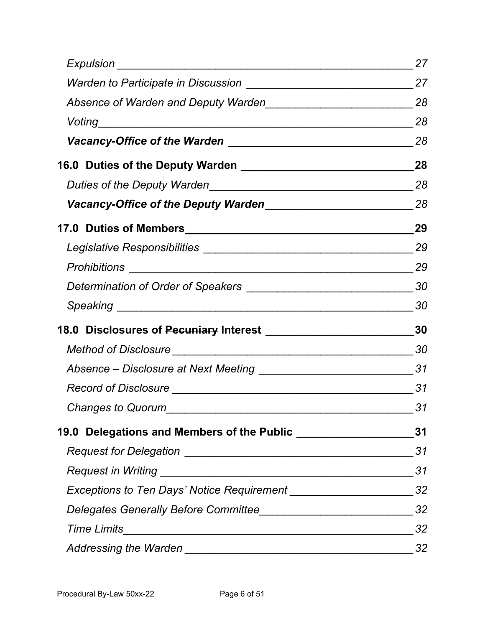|                                                                               | 27 |
|-------------------------------------------------------------------------------|----|
|                                                                               |    |
| Absence of Warden and Deputy Warden                                           |    |
|                                                                               | 28 |
|                                                                               | 28 |
|                                                                               |    |
| Duties of the Deputy Warden                                                   |    |
|                                                                               |    |
|                                                                               |    |
|                                                                               |    |
|                                                                               |    |
|                                                                               |    |
| Speaking 30                                                                   |    |
|                                                                               |    |
|                                                                               |    |
|                                                                               |    |
|                                                                               |    |
| Changes to Quorum                                                             | 31 |
| 19.0 Delegations and Members of the Public ________________________________31 |    |
|                                                                               | 31 |
|                                                                               | 31 |
|                                                                               |    |
|                                                                               | 32 |
|                                                                               | 32 |
|                                                                               | 32 |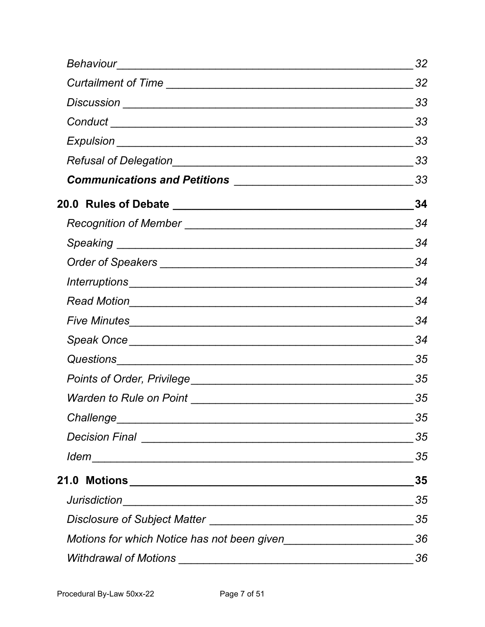|                                                                                                                                                                                                                                      | 32  |
|--------------------------------------------------------------------------------------------------------------------------------------------------------------------------------------------------------------------------------------|-----|
|                                                                                                                                                                                                                                      | 32  |
|                                                                                                                                                                                                                                      | 33  |
|                                                                                                                                                                                                                                      |     |
|                                                                                                                                                                                                                                      |     |
|                                                                                                                                                                                                                                      |     |
|                                                                                                                                                                                                                                      | -33 |
|                                                                                                                                                                                                                                      | 34  |
|                                                                                                                                                                                                                                      | 34  |
|                                                                                                                                                                                                                                      | 34  |
|                                                                                                                                                                                                                                      | 34  |
|                                                                                                                                                                                                                                      | 34  |
|                                                                                                                                                                                                                                      | 34  |
| Five Minutes <b>Executive Contract Contract Contract Contract Contract Contract Contract Contract Contract Contract Contract Contract Contract Contract Contract Contract Contract Contract Contract Contract Contract Contract </b> | 34  |
|                                                                                                                                                                                                                                      | 34  |
|                                                                                                                                                                                                                                      | 35  |
|                                                                                                                                                                                                                                      | 35  |
|                                                                                                                                                                                                                                      | 35  |
|                                                                                                                                                                                                                                      | 35  |
|                                                                                                                                                                                                                                      | 35  |
|                                                                                                                                                                                                                                      | 35  |
|                                                                                                                                                                                                                                      | 35  |
|                                                                                                                                                                                                                                      | 35  |
|                                                                                                                                                                                                                                      | 35  |
|                                                                                                                                                                                                                                      | 36  |
|                                                                                                                                                                                                                                      | 36  |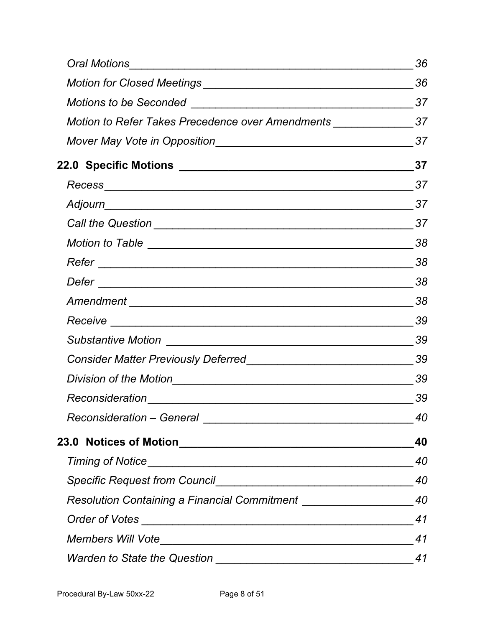|                                                                                  | 36 |
|----------------------------------------------------------------------------------|----|
|                                                                                  | 36 |
|                                                                                  |    |
| Motion to Refer Takes Precedence over Amendments _______________________37       |    |
|                                                                                  |    |
|                                                                                  |    |
|                                                                                  |    |
|                                                                                  |    |
|                                                                                  |    |
|                                                                                  |    |
|                                                                                  |    |
|                                                                                  |    |
|                                                                                  |    |
|                                                                                  | 39 |
|                                                                                  | 39 |
|                                                                                  |    |
|                                                                                  |    |
|                                                                                  | 39 |
|                                                                                  | 40 |
|                                                                                  | 40 |
|                                                                                  | 40 |
|                                                                                  | 40 |
| Resolution Containing a Financial Commitment ___________________________________ | 40 |
|                                                                                  | 41 |
|                                                                                  | 41 |
|                                                                                  | 41 |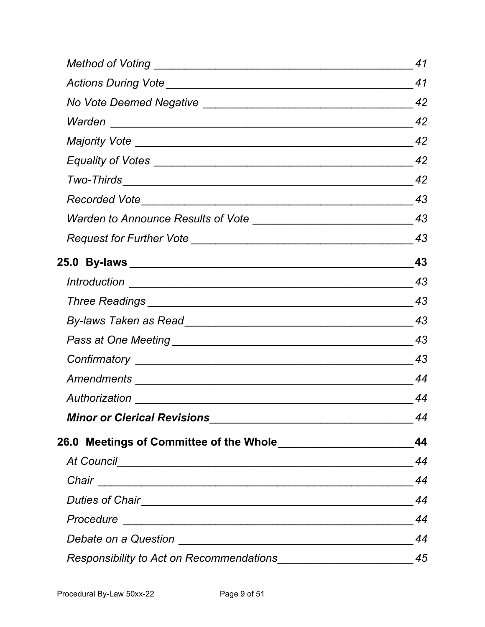|                                                              | 41 |
|--------------------------------------------------------------|----|
|                                                              | 41 |
|                                                              |    |
|                                                              |    |
|                                                              |    |
|                                                              |    |
|                                                              |    |
|                                                              |    |
|                                                              |    |
|                                                              | 43 |
|                                                              | 43 |
|                                                              | 43 |
|                                                              | 43 |
|                                                              | 43 |
|                                                              | 43 |
|                                                              |    |
|                                                              | 44 |
|                                                              | 44 |
|                                                              | 44 |
| 26.0 Meetings of Committee of the Whole_____________________ | 44 |
|                                                              | 44 |
|                                                              | 44 |
|                                                              | 44 |
|                                                              | 44 |
|                                                              | 44 |
|                                                              | 45 |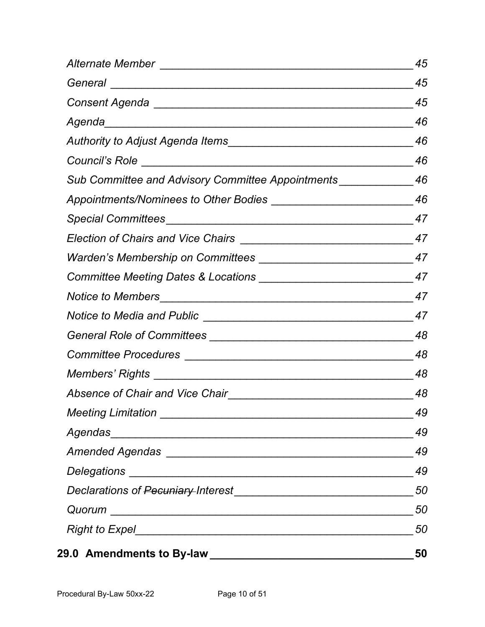|                                                                       | 45 |
|-----------------------------------------------------------------------|----|
|                                                                       | 45 |
|                                                                       | 45 |
|                                                                       |    |
|                                                                       |    |
|                                                                       |    |
| Sub Committee and Advisory Committee Appointments ________________ 46 |    |
|                                                                       |    |
|                                                                       |    |
|                                                                       |    |
|                                                                       |    |
|                                                                       |    |
|                                                                       |    |
|                                                                       |    |
|                                                                       |    |
|                                                                       |    |
|                                                                       |    |
|                                                                       |    |
|                                                                       | 49 |
|                                                                       | 49 |
|                                                                       | 49 |
|                                                                       | 49 |
|                                                                       | 50 |
|                                                                       | 50 |
|                                                                       | 50 |
| 29.0 Amendments to By-law _________________________________           | 50 |
|                                                                       |    |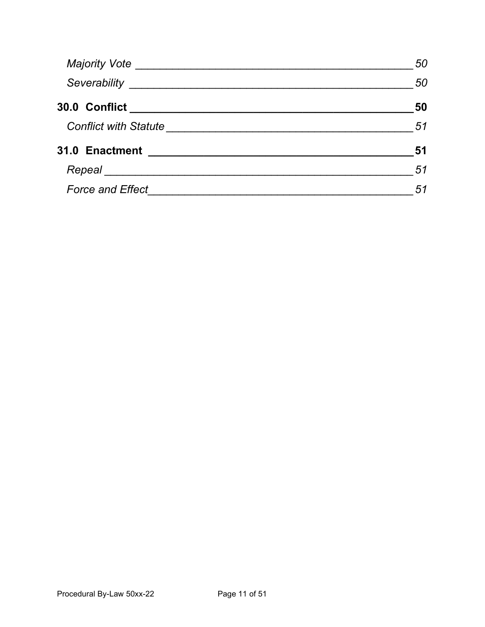|                                                                               | 50 |
|-------------------------------------------------------------------------------|----|
|                                                                               | 50 |
| 30.0 Conflict __________________________________                              | 50 |
| Conflict with Statute <u>[1994]</u> Conflict with Statute <b>and Conflict</b> | 51 |
| 31.0 Enactment<br><u> 1980 - Andrea Andrew Maria (h. 1980).</u>               | 51 |
|                                                                               | 51 |
|                                                                               | 51 |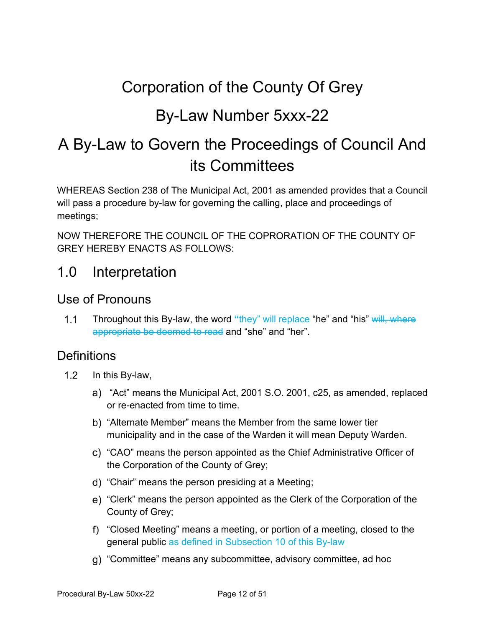# Corporation of the County Of Grey

# By-Law Number 5xxx-22

# A By-Law to Govern the Proceedings of Council And its Committees

WHEREAS Section 238 of The Municipal Act, 2001 as amended provides that a Council will pass a procedure by-law for governing the calling, place and proceedings of meetings;

NOW THEREFORE THE COUNCIL OF THE COPRORATION OF THE COUNTY OF GREY HEREBY ENACTS AS FOLLOWS:

# <span id="page-10-0"></span>1.0 Interpretation

#### <span id="page-10-1"></span>Use of Pronouns

 $1.1$ Throughout this By-law, the word **"**they" will replace "he" and "his" will, where appropriate be deemed to read and "she" and "her".

#### **Definitions**

- $1.2$ In this By-law,
	- "Act" means the Municipal Act, 2001 S.O. 2001, c25, as amended, replaced or re-enacted from time to time.
	- b) "Alternate Member" means the Member from the same lower tier municipality and in the case of the Warden it will mean Deputy Warden.
	- "CAO" means the person appointed as the Chief Administrative Officer of the Corporation of the County of Grey;
	- "Chair" means the person presiding at a Meeting;
	- "Clerk" means the person appointed as the Clerk of the Corporation of the County of Grey;
	- "Closed Meeting" means a meeting, or portion of a meeting, closed to the general public as defined in Subsection 10 of this By-law
	- "Committee" means any subcommittee, advisory committee, ad hoc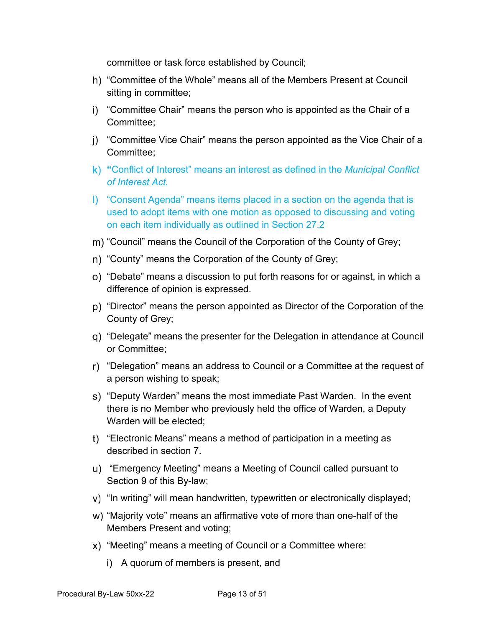committee or task force established by Council;

- "Committee of the Whole" means all of the Members Present at Council sitting in committee;
- i) "Committee Chair" means the person who is appointed as the Chair of a Committee;
- "Committee Vice Chair" means the person appointed as the Vice Chair of a Committee;
- **"**Conflict of Interest" means an interest as defined in the *Municipal Conflict of Interest Act.*
- "Consent Agenda" means items placed in a section on the agenda that is used to adopt items with one motion as opposed to discussing and voting on each item individually as outlined in Section 27.2
- m) "Council" means the Council of the Corporation of the County of Grey;
- n) "County" means the Corporation of the County of Grey;
- "Debate" means a discussion to put forth reasons for or against, in which a difference of opinion is expressed.
- "Director" means the person appointed as Director of the Corporation of the County of Grey;
- "Delegate" means the presenter for the Delegation in attendance at Council or Committee;
- "Delegation" means an address to Council or a Committee at the request of a person wishing to speak;
- s) "Deputy Warden" means the most immediate Past Warden. In the event there is no Member who previously held the office of Warden, a Deputy Warden will be elected:
- "Electronic Means" means a method of participation in a meeting as described in section 7.
- "Emergency Meeting" means a Meeting of Council called pursuant to Section 9 of this By-law;
- "In writing" will mean handwritten, typewritten or electronically displayed;
- "Majority vote" means an affirmative vote of more than one-half of the Members Present and voting;
- "Meeting" means a meeting of Council or a Committee where:
	- i) A quorum of members is present, and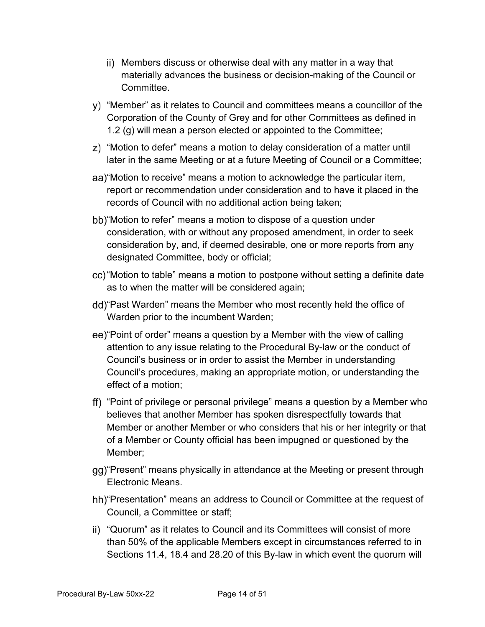- Members discuss or otherwise deal with any matter in a way that materially advances the business or decision-making of the Council or Committee.
- "Member" as it relates to Council and committees means a councillor of the Corporation of the County of Grey and for other Committees as defined in 1.2 (g) will mean a person elected or appointed to the Committee;
- "Motion to defer" means a motion to delay consideration of a matter until later in the same Meeting or at a future Meeting of Council or a Committee;
- "Motion to receive" means a motion to acknowledge the particular item, report or recommendation under consideration and to have it placed in the records of Council with no additional action being taken;
- bb) "Motion to refer" means a motion to dispose of a question under consideration, with or without any proposed amendment, in order to seek consideration by, and, if deemed desirable, one or more reports from any designated Committee, body or official;
- "Motion to table" means a motion to postpone without setting a definite date as to when the matter will be considered again;
- "Past Warden" means the Member who most recently held the office of Warden prior to the incumbent Warden;
- ee) "Point of order" means a question by a Member with the view of calling attention to any issue relating to the Procedural By-law or the conduct of Council's business or in order to assist the Member in understanding Council's procedures, making an appropriate motion, or understanding the effect of a motion;
- "Point of privilege or personal privilege" means a question by a Member who believes that another Member has spoken disrespectfully towards that Member or another Member or who considers that his or her integrity or that of a Member or County official has been impugned or questioned by the Member;
- gg) "Present" means physically in attendance at the Meeting or present through Electronic Means.
- hh) "Presentation" means an address to Council or Committee at the request of Council, a Committee or staff;
- "Quorum" as it relates to Council and its Committees will consist of more than 50% of the applicable Members except in circumstances referred to in Sections 11.4, 18.4 and 28.20 of this By-law in which event the quorum will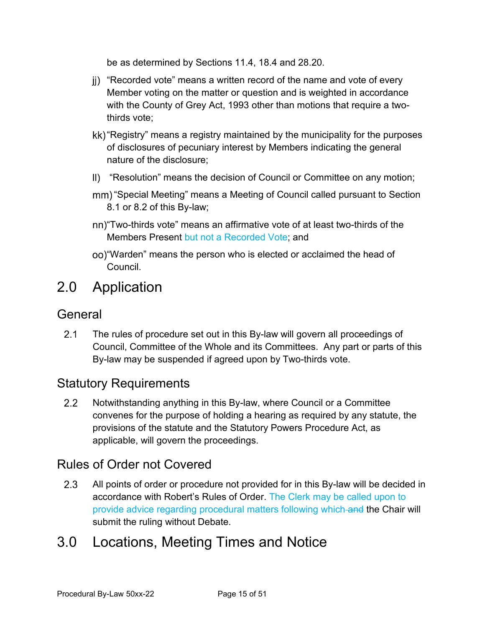be as determined by Sections 11.4, 18.4 and 28.20.

- "Recorded vote" means a written record of the name and vote of every Member voting on the matter or question and is weighted in accordance with the County of Grey Act, 1993 other than motions that require a twothirds vote;
- kk) "Registry" means a registry maintained by the municipality for the purposes of disclosures of pecuniary interest by Members indicating the general nature of the disclosure;
- II) "Resolution" means the decision of Council or Committee on any motion;
- mm) "Special Meeting" means a Meeting of Council called pursuant to Section 8.1 or 8.2 of this By-law;
- "Two-thirds vote" means an affirmative vote of at least two-thirds of the Members Present but not a Recorded Vote; and
- "Warden" means the person who is elected or acclaimed the head of Council.

# 2.0 Application

#### <span id="page-13-0"></span>General

 $2.1$ The rules of procedure set out in this By-law will govern all proceedings of Council, Committee of the Whole and its Committees. Any part or parts of this By-law may be suspended if agreed upon by Two-thirds vote.

### <span id="page-13-1"></span>Statutory Requirements

 $2.2$ Notwithstanding anything in this By-law, where Council or a Committee convenes for the purpose of holding a hearing as required by any statute, the provisions of the statute and the Statutory Powers Procedure Act, as applicable, will govern the proceedings.

### <span id="page-13-2"></span>Rules of Order not Covered

 $2.3$ All points of order or procedure not provided for in this By-law will be decided in accordance with Robert's Rules of Order. The Clerk may be called upon to provide advice regarding procedural matters following which and the Chair will submit the ruling without Debate.

# 3.0 Locations, Meeting Times and Notice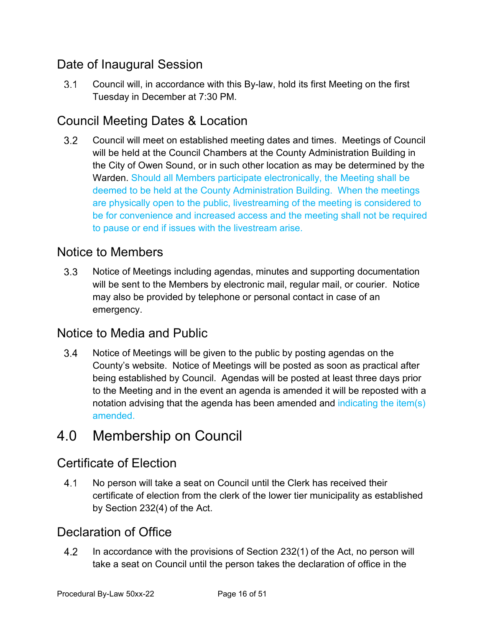# <span id="page-14-0"></span>Date of Inaugural Session

 $3.1$ Council will, in accordance with this By-law, hold its first Meeting on the first Tuesday in December at 7:30 PM.

# <span id="page-14-1"></span>Council Meeting Dates & Location

 $3.2$ Council will meet on established meeting dates and times. Meetings of Council will be held at the Council Chambers at the County Administration Building in the City of Owen Sound, or in such other location as may be determined by the Warden. Should all Members participate electronically, the Meeting shall be deemed to be held at the County Administration Building. When the meetings are physically open to the public, livestreaming of the meeting is considered to be for convenience and increased access and the meeting shall not be required to pause or end if issues with the livestream arise.

### <span id="page-14-2"></span>Notice to Members

 $3.3$ Notice of Meetings including agendas, minutes and supporting documentation will be sent to the Members by electronic mail, regular mail, or courier. Notice may also be provided by telephone or personal contact in case of an emergency.

#### <span id="page-14-3"></span>Notice to Media and Public

 $3.4$ Notice of Meetings will be given to the public by posting agendas on the County's website. Notice of Meetings will be posted as soon as practical after being established by Council. Agendas will be posted at least three days prior to the Meeting and in the event an agenda is amended it will be reposted with a notation advising that the agenda has been amended and indicating the item(s) amended.

# 4.0 Membership on Council

### <span id="page-14-4"></span>Certificate of Election

 $4.1$ No person will take a seat on Council until the Clerk has received their certificate of election from the clerk of the lower tier municipality as established by Section 232(4) of the Act.

### <span id="page-14-5"></span>Declaration of Office

 $4.2$ In accordance with the provisions of Section 232(1) of the Act, no person will take a seat on Council until the person takes the declaration of office in the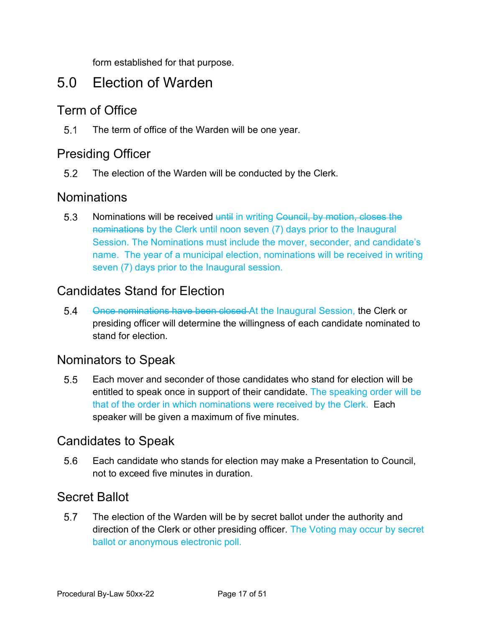form established for that purpose.

# <span id="page-15-0"></span>5.0 Election of Warden

#### <span id="page-15-1"></span>Term of Office

 $5.1$ The term of office of the Warden will be one year.

#### <span id="page-15-2"></span>Presiding Officer

 $5.2$ The election of the Warden will be conducted by the Clerk.

#### <span id="page-15-3"></span>**Nominations**

5.3 Nominations will be received until in writing Council, by motion, closes the nominations by the Clerk until noon seven (7) days prior to the Inaugural Session. The Nominations must include the mover, seconder, and candidate's name. The year of a municipal election, nominations will be received in writing seven (7) days prior to the Inaugural session.

### <span id="page-15-4"></span>Candidates Stand for Election

Once nominations have been closed At the Inaugural Session, the Clerk or  $5.4$ presiding officer will determine the willingness of each candidate nominated to stand for election.

#### <span id="page-15-5"></span>Nominators to Speak

 $5.5$ Each mover and seconder of those candidates who stand for election will be entitled to speak once in support of their candidate. The speaking order will be that of the order in which nominations were received by the Clerk. Each speaker will be given a maximum of five minutes.

#### <span id="page-15-6"></span>Candidates to Speak

5.6 Each candidate who stands for election may make a Presentation to Council, not to exceed five minutes in duration.

### <span id="page-15-7"></span>Secret Ballot

 $5.7$ The election of the Warden will be by secret ballot under the authority and direction of the Clerk or other presiding officer. The Voting may occur by secret ballot or anonymous electronic poll.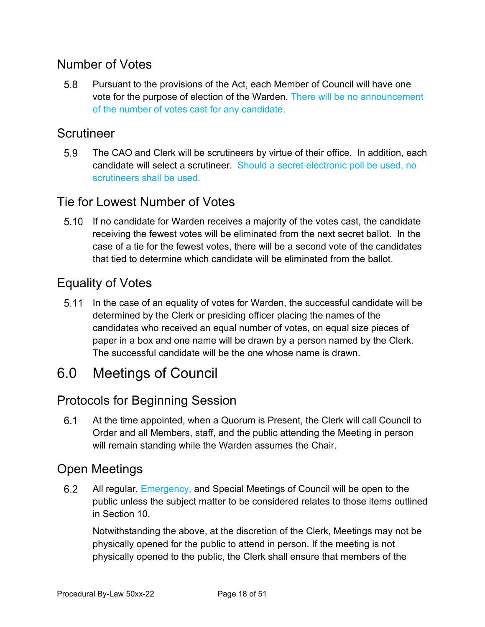### <span id="page-16-0"></span>Number of Votes

 $5.8$ Pursuant to the provisions of the Act, each Member of Council will have one vote for the purpose of election of the Warden. There will be no announcement of the number of votes cast for any candidate.

#### <span id="page-16-1"></span>**Scrutineer**

5.9 The CAO and Clerk will be scrutineers by virtue of their office. In addition, each candidate will select a scrutineer. Should a secret electronic poll be used, no scrutineers shall be used.

### <span id="page-16-2"></span>Tie for Lowest Number of Votes

If no candidate for Warden receives a majority of the votes cast, the candidate receiving the fewest votes will be eliminated from the next secret ballot. In the case of a tie for the fewest votes, there will be a second vote of the candidates that tied to determine which candidate will be eliminated from the ballot.

### <span id="page-16-3"></span>Equality of Votes

In the case of an equality of votes for Warden, the successful candidate will be determined by the Clerk or presiding officer placing the names of the candidates who received an equal number of votes, on equal size pieces of paper in a box and one name will be drawn by a person named by the Clerk. The successful candidate will be the one whose name is drawn.

# <span id="page-16-4"></span>6.0 Meetings of Council

### <span id="page-16-5"></span>Protocols for Beginning Session

 $6.1$ At the time appointed, when a Quorum is Present, the Clerk will call Council to Order and all Members, staff, and the public attending the Meeting in person will remain standing while the Warden assumes the Chair.

#### <span id="page-16-6"></span>Open Meetings

6.2 All regular, Emergency, and Special Meetings of Council will be open to the public unless the subject matter to be considered relates to those items outlined in Section 10.

Notwithstanding the above, at the discretion of the Clerk, Meetings may not be physically opened for the public to attend in person. If the meeting is not physically opened to the public, the Clerk shall ensure that members of the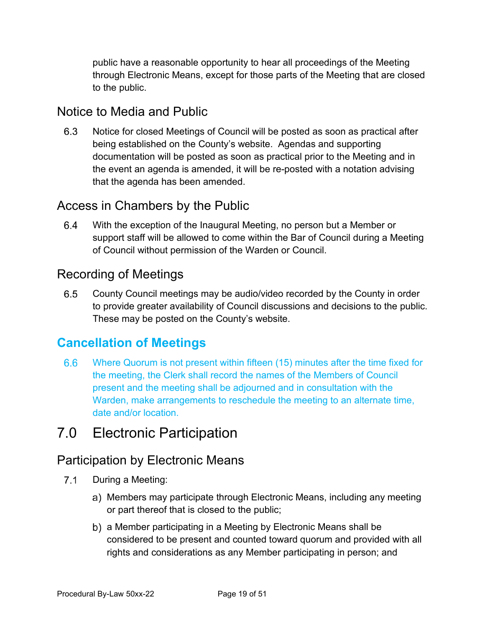public have a reasonable opportunity to hear all proceedings of the Meeting through Electronic Means, except for those parts of the Meeting that are closed to the public.

#### <span id="page-17-0"></span>Notice to Media and Public

6.3 Notice for closed Meetings of Council will be posted as soon as practical after being established on the County's website. Agendas and supporting documentation will be posted as soon as practical prior to the Meeting and in the event an agenda is amended, it will be re-posted with a notation advising that the agenda has been amended.

### <span id="page-17-1"></span>Access in Chambers by the Public

6.4 With the exception of the Inaugural Meeting, no person but a Member or support staff will be allowed to come within the Bar of Council during a Meeting of Council without permission of the Warden or Council.

### <span id="page-17-2"></span>Recording of Meetings

6.5 County Council meetings may be audio/video recorded by the County in order to provide greater availability of Council discussions and decisions to the public. These may be posted on the County's website.

### <span id="page-17-3"></span>**Cancellation of Meetings**

Where Quorum is not present within fifteen (15) minutes after the time fixed for  $6.6$ the meeting, the Clerk shall record the names of the Members of Council present and the meeting shall be adjourned and in consultation with the Warden, make arrangements to reschedule the meeting to an alternate time, date and/or location.

# <span id="page-17-4"></span>7.0 Electronic Participation

### <span id="page-17-5"></span>Participation by Electronic Means

- $7.1$ During a Meeting:
	- a) Members may participate through Electronic Means, including any meeting or part thereof that is closed to the public;
	- a Member participating in a Meeting by Electronic Means shall be considered to be present and counted toward quorum and provided with all rights and considerations as any Member participating in person; and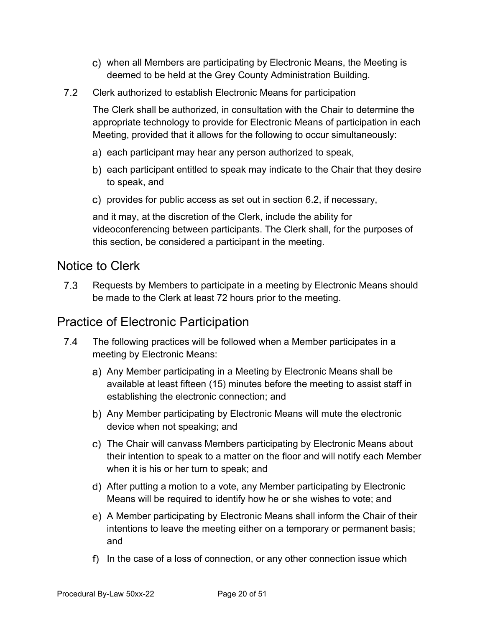- when all Members are participating by Electronic Means, the Meeting is deemed to be held at the Grey County Administration Building.
- $7.2$ Clerk authorized to establish Electronic Means for participation

The Clerk shall be authorized, in consultation with the Chair to determine the appropriate technology to provide for Electronic Means of participation in each Meeting, provided that it allows for the following to occur simultaneously:

- a) each participant may hear any person authorized to speak,
- b) each participant entitled to speak may indicate to the Chair that they desire to speak, and
- c) provides for public access as set out in section 6.2, if necessary,

and it may, at the discretion of the Clerk, include the ability for videoconferencing between participants. The Clerk shall, for the purposes of this section, be considered a participant in the meeting.

#### <span id="page-18-0"></span>Notice to Clerk

 $7.3$ Requests by Members to participate in a meeting by Electronic Means should be made to the Clerk at least 72 hours prior to the meeting.

#### <span id="page-18-1"></span>Practice of Electronic Participation

- $7.4$ The following practices will be followed when a Member participates in a meeting by Electronic Means:
	- a) Any Member participating in a Meeting by Electronic Means shall be available at least fifteen (15) minutes before the meeting to assist staff in establishing the electronic connection; and
	- Any Member participating by Electronic Means will mute the electronic device when not speaking; and
	- The Chair will canvass Members participating by Electronic Means about their intention to speak to a matter on the floor and will notify each Member when it is his or her turn to speak; and
	- After putting a motion to a vote, any Member participating by Electronic Means will be required to identify how he or she wishes to vote; and
	- A Member participating by Electronic Means shall inform the Chair of their intentions to leave the meeting either on a temporary or permanent basis; and
	- $\mathsf{f}$ ) In the case of a loss of connection, or any other connection issue which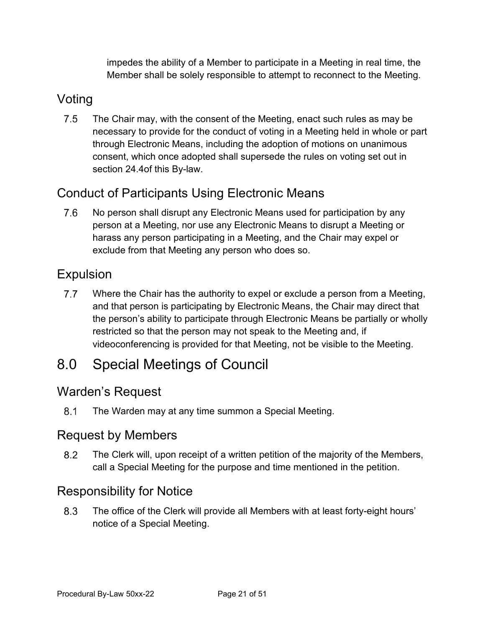impedes the ability of a Member to participate in a Meeting in real time, the Member shall be solely responsible to attempt to reconnect to the Meeting.

### <span id="page-19-0"></span>Voting

 $7.5$ The Chair may, with the consent of the Meeting, enact such rules as may be necessary to provide for the conduct of voting in a Meeting held in whole or part through Electronic Means, including the adoption of motions on unanimous consent, which once adopted shall supersede the rules on voting set out in section 24.4of this By-law.

# <span id="page-19-1"></span>Conduct of Participants Using Electronic Means

 $7.6$ No person shall disrupt any Electronic Means used for participation by any person at a Meeting, nor use any Electronic Means to disrupt a Meeting or harass any person participating in a Meeting, and the Chair may expel or exclude from that Meeting any person who does so.

### <span id="page-19-2"></span>Expulsion

 $7.7$ Where the Chair has the authority to expel or exclude a person from a Meeting, and that person is participating by Electronic Means, the Chair may direct that the person's ability to participate through Electronic Means be partially or wholly restricted so that the person may not speak to the Meeting and, if videoconferencing is provided for that Meeting, not be visible to the Meeting.

# <span id="page-19-3"></span>8.0 Special Meetings of Council

### <span id="page-19-4"></span>Warden's Request

 $8.1$ The Warden may at any time summon a Special Meeting.

### <span id="page-19-5"></span>Request by Members

8.2 The Clerk will, upon receipt of a written petition of the majority of the Members, call a Special Meeting for the purpose and time mentioned in the petition.

### <span id="page-19-6"></span>Responsibility for Notice

The office of the Clerk will provide all Members with at least forty-eight hours'  $8.3$ notice of a Special Meeting.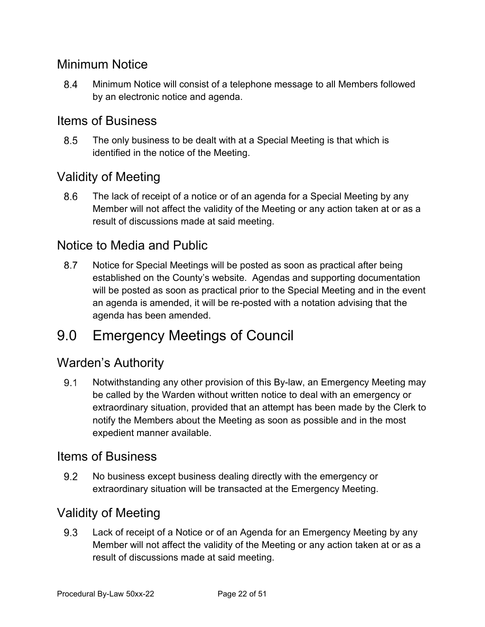### <span id="page-20-0"></span>Minimum Notice

8.4 Minimum Notice will consist of a telephone message to all Members followed by an electronic notice and agenda.

### <span id="page-20-1"></span>Items of Business

8.5 The only business to be dealt with at a Special Meeting is that which is identified in the notice of the Meeting.

### <span id="page-20-2"></span>Validity of Meeting

The lack of receipt of a notice or of an agenda for a Special Meeting by any 8.6 Member will not affect the validity of the Meeting or any action taken at or as a result of discussions made at said meeting.

#### <span id="page-20-3"></span>Notice to Media and Public

8.7 Notice for Special Meetings will be posted as soon as practical after being established on the County's website. Agendas and supporting documentation will be posted as soon as practical prior to the Special Meeting and in the event an agenda is amended, it will be re-posted with a notation advising that the agenda has been amended.

# <span id="page-20-4"></span>9.0 Emergency Meetings of Council

#### <span id="page-20-5"></span>Warden's Authority

 $9.1$ Notwithstanding any other provision of this By-law, an Emergency Meeting may be called by the Warden without written notice to deal with an emergency or extraordinary situation, provided that an attempt has been made by the Clerk to notify the Members about the Meeting as soon as possible and in the most expedient manner available.

#### <span id="page-20-6"></span>Items of Business

 $9.2$ No business except business dealing directly with the emergency or extraordinary situation will be transacted at the Emergency Meeting.

### <span id="page-20-7"></span>Validity of Meeting

9.3 Lack of receipt of a Notice or of an Agenda for an Emergency Meeting by any Member will not affect the validity of the Meeting or any action taken at or as a result of discussions made at said meeting.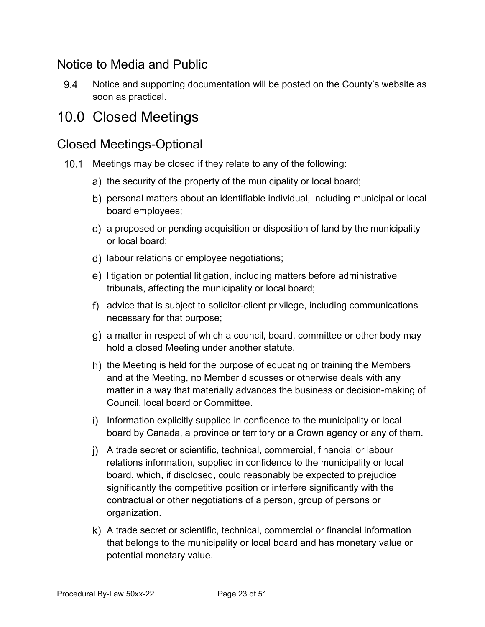### <span id="page-21-0"></span>Notice to Media and Public

9.4 Notice and supporting documentation will be posted on the County's website as soon as practical.

# <span id="page-21-1"></span>10.0 Closed Meetings

### <span id="page-21-2"></span>Closed Meetings-Optional

- 10.1 Meetings may be closed if they relate to any of the following:
	- a) the security of the property of the municipality or local board;
	- b) personal matters about an identifiable individual, including municipal or local board employees;
	- a proposed or pending acquisition or disposition of land by the municipality or local board;
	- d) labour relations or employee negotiations;
	- litigation or potential litigation, including matters before administrative tribunals, affecting the municipality or local board;
	- advice that is subject to solicitor-client privilege, including communications necessary for that purpose;
	- g) a matter in respect of which a council, board, committee or other body may hold a closed Meeting under another statute,
	- h) the Meeting is held for the purpose of educating or training the Members and at the Meeting, no Member discusses or otherwise deals with any matter in a way that materially advances the business or decision-making of Council, local board or Committee.
	- i) Information explicitly supplied in confidence to the municipality or local board by Canada, a province or territory or a Crown agency or any of them.
	- A trade secret or scientific, technical, commercial, financial or labour relations information, supplied in confidence to the municipality or local board, which, if disclosed, could reasonably be expected to prejudice significantly the competitive position or interfere significantly with the contractual or other negotiations of a person, group of persons or organization.
	- A trade secret or scientific, technical, commercial or financial information that belongs to the municipality or local board and has monetary value or potential monetary value.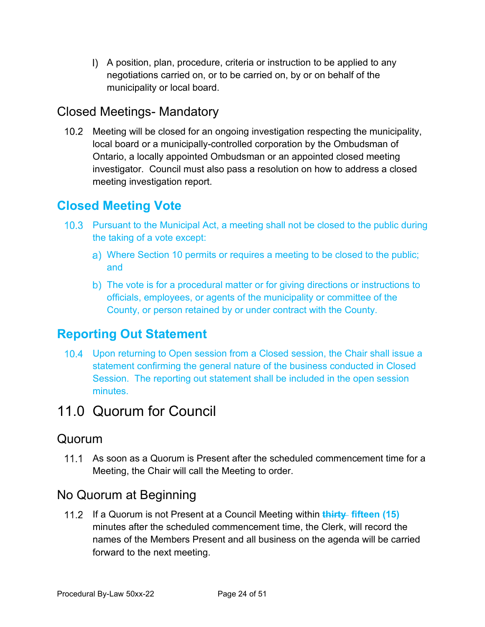A position, plan, procedure, criteria or instruction to be applied to any negotiations carried on, or to be carried on, by or on behalf of the municipality or local board.

### <span id="page-22-0"></span>Closed Meetings- Mandatory

10.2 Meeting will be closed for an ongoing investigation respecting the municipality, local board or a municipally-controlled corporation by the Ombudsman of Ontario, a locally appointed Ombudsman or an appointed closed meeting investigator. Council must also pass a resolution on how to address a closed meeting investigation report.

### <span id="page-22-1"></span>**Closed Meeting Vote**

- 10.3 Pursuant to the Municipal Act, a meeting shall not be closed to the public during the taking of a vote except:
	- Where Section 10 permits or requires a meeting to be closed to the public; and
	- b) The vote is for a procedural matter or for giving directions or instructions to officials, employees, or agents of the municipality or committee of the County, or person retained by or under contract with the County.

### <span id="page-22-2"></span>**Reporting Out Statement**

10.4 Upon returning to Open session from a Closed session, the Chair shall issue a statement confirming the general nature of the business conducted in Closed Session. The reporting out statement shall be included in the open session minutes.

# <span id="page-22-3"></span>11.0 Quorum for Council

#### <span id="page-22-4"></span>Quorum

11.1 As soon as a Quorum is Present after the scheduled commencement time for a Meeting, the Chair will call the Meeting to order.

### <span id="page-22-5"></span>No Quorum at Beginning

If a Quorum is not Present at a Council Meeting within **thirty fifteen (15)** minutes after the scheduled commencement time, the Clerk, will record the names of the Members Present and all business on the agenda will be carried forward to the next meeting.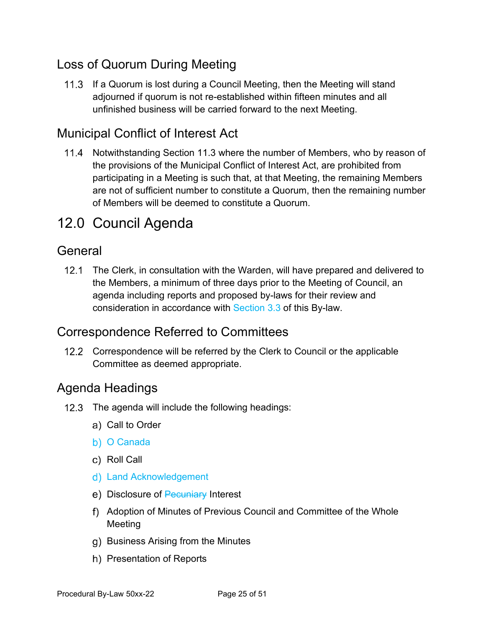# <span id="page-23-0"></span>Loss of Quorum During Meeting

11.3 If a Quorum is lost during a Council Meeting, then the Meeting will stand adjourned if quorum is not re-established within fifteen minutes and all unfinished business will be carried forward to the next Meeting.

### <span id="page-23-1"></span>Municipal Conflict of Interest Act

11.4 Notwithstanding Section 11.3 where the number of Members, who by reason of the provisions of the Municipal Conflict of Interest Act, are prohibited from participating in a Meeting is such that, at that Meeting, the remaining Members are not of sufficient number to constitute a Quorum, then the remaining number of Members will be deemed to constitute a Quorum.

# <span id="page-23-2"></span>12.0 Council Agenda

### <span id="page-23-3"></span>General

12.1 The Clerk, in consultation with the Warden, will have prepared and delivered to the Members, a minimum of three days prior to the Meeting of Council, an agenda including reports and proposed by-laws for their review and consideration in accordance with Section 3.3 of this By-law.

### <span id="page-23-4"></span>Correspondence Referred to Committees

12.2 Correspondence will be referred by the Clerk to Council or the applicable Committee as deemed appropriate.

### <span id="page-23-5"></span>Agenda Headings

- 12.3 The agenda will include the following headings:
	- a) Call to Order
	- b) O Canada
	- c) Roll Call
	- Land Acknowledgement
	- e) Disclosure of Pecuniary Interest
	- Adoption of Minutes of Previous Council and Committee of the Whole Meeting
	- g) Business Arising from the Minutes
	- h) Presentation of Reports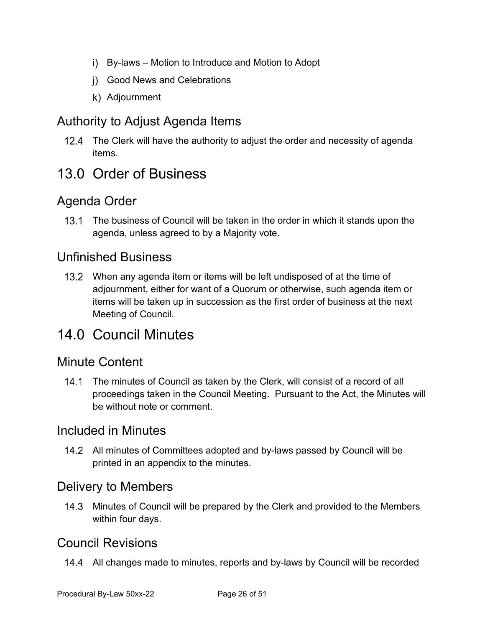- By-laws Motion to Introduce and Motion to Adopt
- Good News and Celebrations
- k) Adjournment

### <span id="page-24-0"></span>Authority to Adjust Agenda Items

12.4 The Clerk will have the authority to adjust the order and necessity of agenda items.

# <span id="page-24-1"></span>13.0 Order of Business

### <span id="page-24-2"></span>Agenda Order

13.1 The business of Council will be taken in the order in which it stands upon the agenda, unless agreed to by a Majority vote.

#### <span id="page-24-3"></span>Unfinished Business

When any agenda item or items will be left undisposed of at the time of adjournment, either for want of a Quorum or otherwise, such agenda item or items will be taken up in succession as the first order of business at the next Meeting of Council.

# <span id="page-24-4"></span>14.0 Council Minutes

#### <span id="page-24-5"></span>Minute Content

14.1 The minutes of Council as taken by the Clerk, will consist of a record of all proceedings taken in the Council Meeting. Pursuant to the Act, the Minutes will be without note or comment.

#### <span id="page-24-6"></span>Included in Minutes

All minutes of Committees adopted and by-laws passed by Council will be printed in an appendix to the minutes.

#### <span id="page-24-7"></span>Delivery to Members

14.3 Minutes of Council will be prepared by the Clerk and provided to the Members within four days.

#### <span id="page-24-8"></span>Council Revisions

14.4 All changes made to minutes, reports and by-laws by Council will be recorded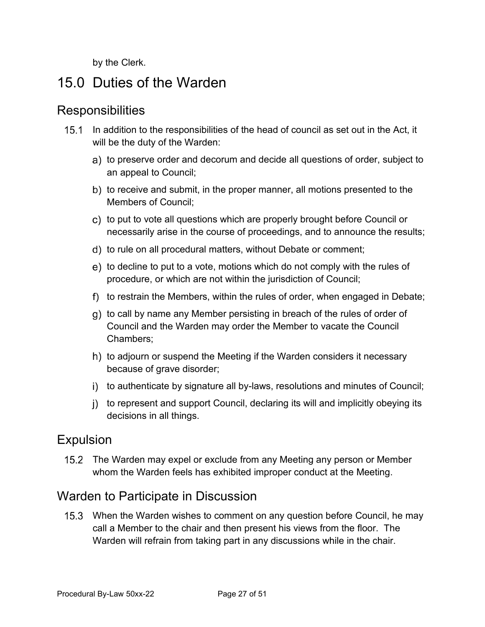by the Clerk.

# <span id="page-25-0"></span>15.0 Duties of the Warden

#### <span id="page-25-1"></span>**Responsibilities**

- 15.1 In addition to the responsibilities of the head of council as set out in the Act, it will be the duty of the Warden:
	- a) to preserve order and decorum and decide all questions of order, subject to an appeal to Council;
	- b) to receive and submit, in the proper manner, all motions presented to the Members of Council;
	- c) to put to vote all questions which are properly brought before Council or necessarily arise in the course of proceedings, and to announce the results;
	- d) to rule on all procedural matters, without Debate or comment;
	- e) to decline to put to a vote, motions which do not comply with the rules of procedure, or which are not within the jurisdiction of Council;
	- f) to restrain the Members, within the rules of order, when engaged in Debate;
	- q) to call by name any Member persisting in breach of the rules of order of Council and the Warden may order the Member to vacate the Council Chambers;
	- h) to adjourn or suspend the Meeting if the Warden considers it necessary because of grave disorder;
	- i) to authenticate by signature all by-laws, resolutions and minutes of Council;
	- i) to represent and support Council, declaring its will and implicitly obeying its decisions in all things.

#### <span id="page-25-2"></span>Expulsion

15.2 The Warden may expel or exclude from any Meeting any person or Member whom the Warden feels has exhibited improper conduct at the Meeting.

### <span id="page-25-3"></span>Warden to Participate in Discussion

15.3 When the Warden wishes to comment on any question before Council, he may call a Member to the chair and then present his views from the floor. The Warden will refrain from taking part in any discussions while in the chair.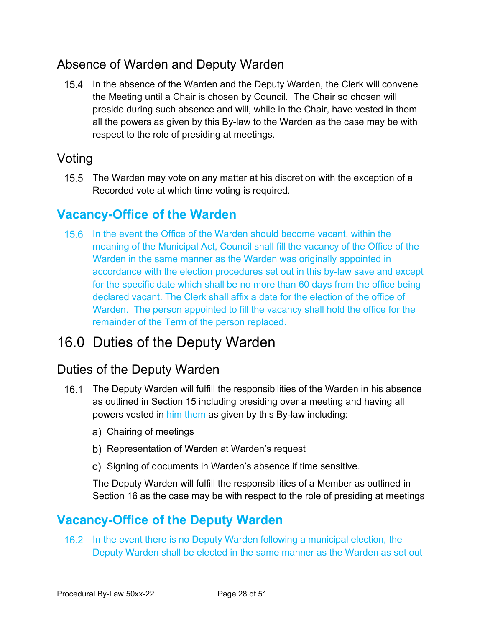# <span id="page-26-0"></span>Absence of Warden and Deputy Warden

15.4 In the absence of the Warden and the Deputy Warden, the Clerk will convene the Meeting until a Chair is chosen by Council. The Chair so chosen will preside during such absence and will, while in the Chair, have vested in them all the powers as given by this By-law to the Warden as the case may be with respect to the role of presiding at meetings.

### <span id="page-26-1"></span>Voting

15.5 The Warden may vote on any matter at his discretion with the exception of a Recorded vote at which time voting is required.

### <span id="page-26-2"></span>**Vacancy-Office of the Warden**

15.6 In the event the Office of the Warden should become vacant, within the meaning of the Municipal Act, Council shall fill the vacancy of the Office of the Warden in the same manner as the Warden was originally appointed in accordance with the election procedures set out in this by-law save and except for the specific date which shall be no more than 60 days from the office being declared vacant. The Clerk shall affix a date for the election of the office of Warden. The person appointed to fill the vacancy shall hold the office for the remainder of the Term of the person replaced.

# <span id="page-26-3"></span>16.0 Duties of the Deputy Warden

### <span id="page-26-4"></span>Duties of the Deputy Warden

- The Deputy Warden will fulfill the responsibilities of the Warden in his absence as outlined in Section 15 including presiding over a meeting and having all powers vested in him them as given by this By-law including:
	- Chairing of meetings
	- b) Representation of Warden at Warden's request
	- c) Signing of documents in Warden's absence if time sensitive.

The Deputy Warden will fulfill the responsibilities of a Member as outlined in Section 16 as the case may be with respect to the role of presiding at meetings

# <span id="page-26-5"></span>**Vacancy-Office of the Deputy Warden**

16.2 In the event there is no Deputy Warden following a municipal election, the Deputy Warden shall be elected in the same manner as the Warden as set out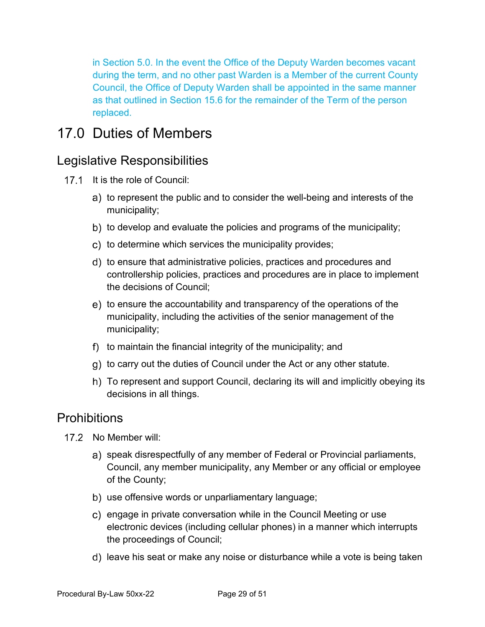in Section 5.0. In the event the Office of the Deputy Warden becomes vacant during the term, and no other past Warden is a Member of the current County Council, the Office of Deputy Warden shall be appointed in the same manner as that outlined in Section 15.6 for the remainder of the Term of the person replaced.

# <span id="page-27-0"></span>17.0 Duties of Members

### <span id="page-27-1"></span>Legislative Responsibilities

- 17.1 It is the role of Council:
	- a) to represent the public and to consider the well-being and interests of the municipality;
	- b) to develop and evaluate the policies and programs of the municipality;
	- c) to determine which services the municipality provides;
	- d) to ensure that administrative policies, practices and procedures and controllership policies, practices and procedures are in place to implement the decisions of Council;
	- e) to ensure the accountability and transparency of the operations of the municipality, including the activities of the senior management of the municipality;
	- f) to maintain the financial integrity of the municipality; and
	- g) to carry out the duties of Council under the Act or any other statute.
	- To represent and support Council, declaring its will and implicitly obeying its decisions in all things.

#### <span id="page-27-2"></span>**Prohibitions**

- $17.2$  No Member will:
	- a) speak disrespectfully of any member of Federal or Provincial parliaments, Council, any member municipality, any Member or any official or employee of the County;
	- b) use offensive words or unparliamentary language;
	- c) engage in private conversation while in the Council Meeting or use electronic devices (including cellular phones) in a manner which interrupts the proceedings of Council;
	- d) leave his seat or make any noise or disturbance while a vote is being taken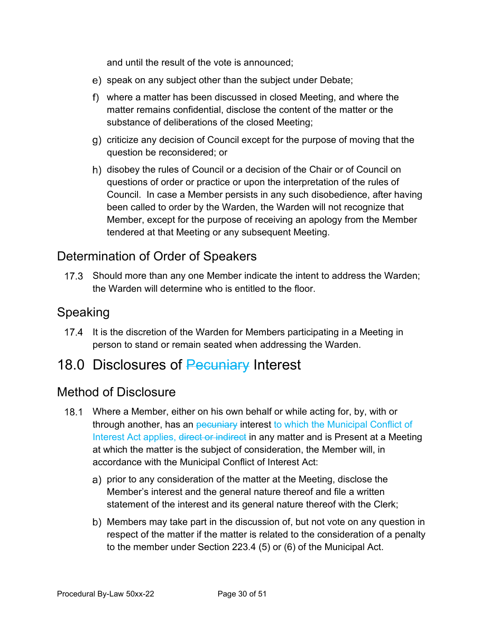and until the result of the vote is announced;

- e) speak on any subject other than the subject under Debate;
- where a matter has been discussed in closed Meeting, and where the matter remains confidential, disclose the content of the matter or the substance of deliberations of the closed Meeting;
- criticize any decision of Council except for the purpose of moving that the question be reconsidered; or
- h) disobey the rules of Council or a decision of the Chair or of Council on questions of order or practice or upon the interpretation of the rules of Council. In case a Member persists in any such disobedience, after having been called to order by the Warden, the Warden will not recognize that Member, except for the purpose of receiving an apology from the Member tendered at that Meeting or any subsequent Meeting.

### <span id="page-28-0"></span>Determination of Order of Speakers

17.3 Should more than any one Member indicate the intent to address the Warden; the Warden will determine who is entitled to the floor.

#### <span id="page-28-1"></span>Speaking

17.4 It is the discretion of the Warden for Members participating in a Meeting in person to stand or remain seated when addressing the Warden.

### <span id="page-28-2"></span>18.0 Disclosures of Pecuniary Interest

#### <span id="page-28-3"></span>Method of Disclosure

- Where a Member, either on his own behalf or while acting for, by, with or through another, has an pecuniary interest to which the Municipal Conflict of Interest Act applies, direct or indirect in any matter and is Present at a Meeting at which the matter is the subject of consideration, the Member will, in accordance with the Municipal Conflict of Interest Act:
	- a) prior to any consideration of the matter at the Meeting, disclose the Member's interest and the general nature thereof and file a written statement of the interest and its general nature thereof with the Clerk;
	- b) Members may take part in the discussion of, but not vote on any question in respect of the matter if the matter is related to the consideration of a penalty to the member under Section 223.4 (5) or (6) of the Municipal Act.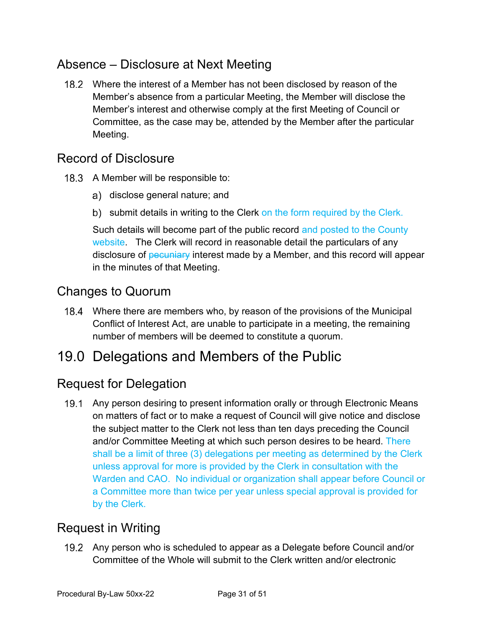### <span id="page-29-0"></span>Absence – Disclosure at Next Meeting

 Where the interest of a Member has not been disclosed by reason of the Member's absence from a particular Meeting, the Member will disclose the Member's interest and otherwise comply at the first Meeting of Council or Committee, as the case may be, attended by the Member after the particular Meeting.

#### <span id="page-29-1"></span>Record of Disclosure

- 18.3 A Member will be responsible to:
	- a) disclose general nature; and
	- b) submit details in writing to the Clerk on the form required by the Clerk.

Such details will become part of the public record and posted to the County website. The Clerk will record in reasonable detail the particulars of any disclosure of pecuniary interest made by a Member, and this record will appear in the minutes of that Meeting.

### <span id="page-29-2"></span>Changes to Quorum

 Where there are members who, by reason of the provisions of the Municipal Conflict of Interest Act, are unable to participate in a meeting, the remaining number of members will be deemed to constitute a quorum.

# <span id="page-29-3"></span>19.0 Delegations and Members of the Public

### <span id="page-29-4"></span>Request for Delegation

19.1 Any person desiring to present information orally or through Electronic Means on matters of fact or to make a request of Council will give notice and disclose the subject matter to the Clerk not less than ten days preceding the Council and/or Committee Meeting at which such person desires to be heard. There shall be a limit of three (3) delegations per meeting as determined by the Clerk unless approval for more is provided by the Clerk in consultation with the Warden and CAO. No individual or organization shall appear before Council or a Committee more than twice per year unless special approval is provided for by the Clerk.

### <span id="page-29-5"></span>Request in Writing

 Any person who is scheduled to appear as a Delegate before Council and/or Committee of the Whole will submit to the Clerk written and/or electronic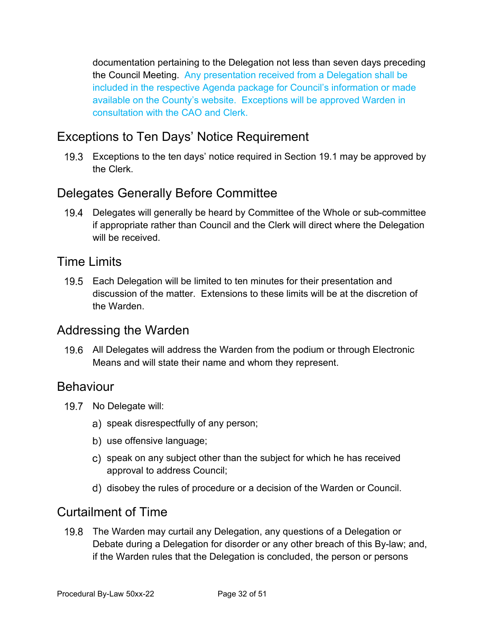documentation pertaining to the Delegation not less than seven days preceding the Council Meeting. Any presentation received from a Delegation shall be included in the respective Agenda package for Council's information or made available on the County's website. Exceptions will be approved Warden in consultation with the CAO and Clerk.

### <span id="page-30-0"></span>Exceptions to Ten Days' Notice Requirement

Exceptions to the ten days' notice required in Section 19.1 may be approved by the Clerk.

### <span id="page-30-1"></span>Delegates Generally Before Committee

Delegates will generally be heard by Committee of the Whole or sub-committee if appropriate rather than Council and the Clerk will direct where the Delegation will be received.

#### <span id="page-30-2"></span>Time Limits

19.5 Each Delegation will be limited to ten minutes for their presentation and discussion of the matter. Extensions to these limits will be at the discretion of the Warden.

#### <span id="page-30-3"></span>Addressing the Warden

19.6 All Delegates will address the Warden from the podium or through Electronic Means and will state their name and whom they represent.

#### <span id="page-30-4"></span>Behaviour

- 19.7 No Delegate will:
	- a) speak disrespectfully of any person;
	- b) use offensive language;
	- c) speak on any subject other than the subject for which he has received approval to address Council;
	- d) disobey the rules of procedure or a decision of the Warden or Council.

#### <span id="page-30-5"></span>Curtailment of Time

19.8 The Warden may curtail any Delegation, any questions of a Delegation or Debate during a Delegation for disorder or any other breach of this By-law; and, if the Warden rules that the Delegation is concluded, the person or persons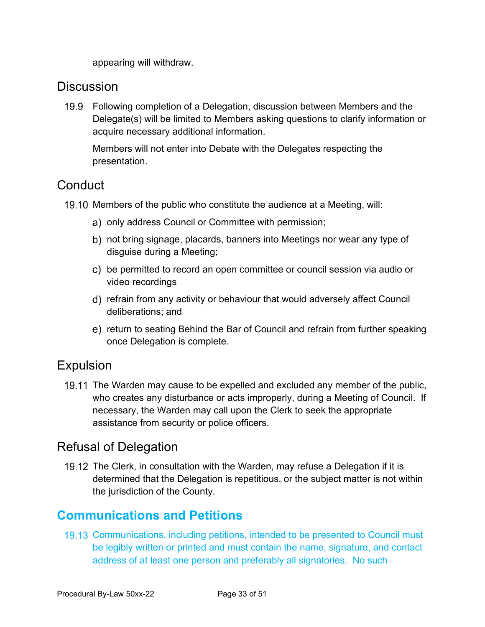appearing will withdraw.

#### <span id="page-31-0"></span>**Discussion**

Following completion of a Delegation, discussion between Members and the Delegate(s) will be limited to Members asking questions to clarify information or acquire necessary additional information.

Members will not enter into Debate with the Delegates respecting the presentation.

### <span id="page-31-1"></span>**Conduct**

- 19.10 Members of the public who constitute the audience at a Meeting, will:
	- a) only address Council or Committee with permission;
	- b) not bring signage, placards, banners into Meetings nor wear any type of disguise during a Meeting;
	- c) be permitted to record an open committee or council session via audio or video recordings
	- refrain from any activity or behaviour that would adversely affect Council deliberations; and
	- e) return to seating Behind the Bar of Council and refrain from further speaking once Delegation is complete.

### <span id="page-31-2"></span>Expulsion

19.11 The Warden may cause to be expelled and excluded any member of the public, who creates any disturbance or acts improperly, during a Meeting of Council. If necessary, the Warden may call upon the Clerk to seek the appropriate assistance from security or police officers.

### <span id="page-31-3"></span>Refusal of Delegation

19.12 The Clerk, in consultation with the Warden, may refuse a Delegation if it is determined that the Delegation is repetitious, or the subject matter is not within the jurisdiction of the County.

### <span id="page-31-4"></span>**Communications and Petitions**

19.13 Communications, including petitions, intended to be presented to Council must be legibly written or printed and must contain the name, signature, and contact address of at least one person and preferably all signatories. No such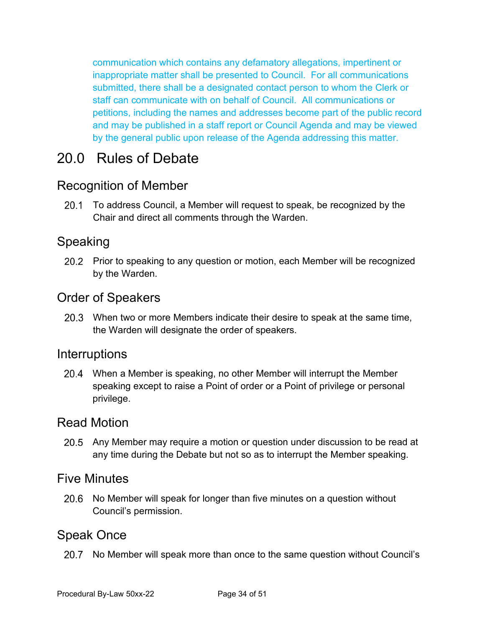communication which contains any defamatory allegations, impertinent or inappropriate matter shall be presented to Council. For all communications submitted, there shall be a designated contact person to whom the Clerk or staff can communicate with on behalf of Council. All communications or petitions, including the names and addresses become part of the public record and may be published in a staff report or Council Agenda and may be viewed by the general public upon release of the Agenda addressing this matter.

# <span id="page-32-0"></span>20.0 Rules of Debate

### <span id="page-32-1"></span>Recognition of Member

20.1 To address Council, a Member will request to speak, be recognized by the Chair and direct all comments through the Warden.

### <span id="page-32-2"></span>Speaking

20.2 Prior to speaking to any question or motion, each Member will be recognized by the Warden.

#### <span id="page-32-3"></span>Order of Speakers

When two or more Members indicate their desire to speak at the same time, the Warden will designate the order of speakers.

#### <span id="page-32-4"></span>**Interruptions**

When a Member is speaking, no other Member will interrupt the Member speaking except to raise a Point of order or a Point of privilege or personal privilege.

#### <span id="page-32-5"></span>Read Motion

20.5 Any Member may require a motion or question under discussion to be read at any time during the Debate but not so as to interrupt the Member speaking.

#### <span id="page-32-6"></span>Five Minutes

20.6 No Member will speak for longer than five minutes on a question without Council's permission.

#### <span id="page-32-7"></span>Speak Once

20.7 No Member will speak more than once to the same question without Council's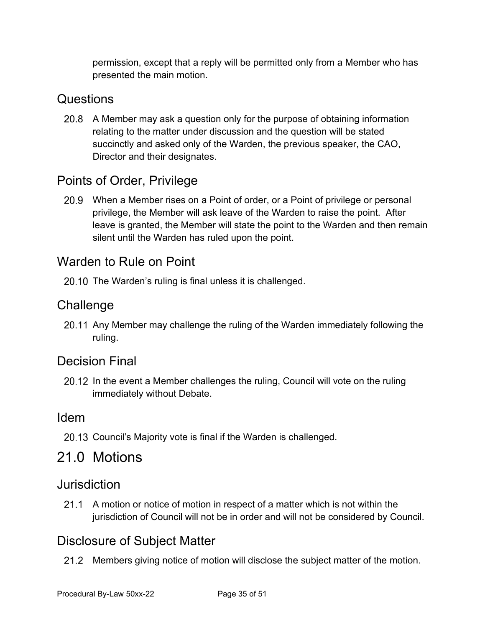permission, except that a reply will be permitted only from a Member who has presented the main motion.

### <span id="page-33-0"></span>**Questions**

20.8 A Member may ask a question only for the purpose of obtaining information relating to the matter under discussion and the question will be stated succinctly and asked only of the Warden, the previous speaker, the CAO, Director and their designates.

### <span id="page-33-1"></span>Points of Order, Privilege

When a Member rises on a Point of order, or a Point of privilege or personal privilege, the Member will ask leave of the Warden to raise the point. After leave is granted, the Member will state the point to the Warden and then remain silent until the Warden has ruled upon the point.

### <span id="page-33-2"></span>Warden to Rule on Point

20.10 The Warden's ruling is final unless it is challenged.

### <span id="page-33-3"></span>**Challenge**

20.11 Any Member may challenge the ruling of the Warden immediately following the ruling.

#### <span id="page-33-4"></span>Decision Final

20.12 In the event a Member challenges the ruling, Council will vote on the ruling immediately without Debate.

#### <span id="page-33-5"></span>Idem

20.13 Council's Majority vote is final if the Warden is challenged.

### <span id="page-33-6"></span>21.0 Motions

#### <span id="page-33-7"></span>Jurisdiction

21.1 A motion or notice of motion in respect of a matter which is not within the jurisdiction of Council will not be in order and will not be considered by Council.

### <span id="page-33-8"></span>Disclosure of Subject Matter

21.2 Members giving notice of motion will disclose the subject matter of the motion.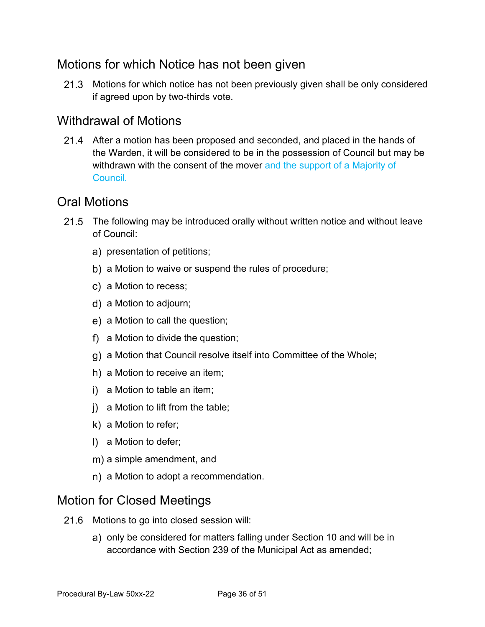### <span id="page-34-0"></span>Motions for which Notice has not been given

21.3 Motions for which notice has not been previously given shall be only considered if agreed upon by two-thirds vote.

### <span id="page-34-1"></span>Withdrawal of Motions

21.4 After a motion has been proposed and seconded, and placed in the hands of the Warden, it will be considered to be in the possession of Council but may be withdrawn with the consent of the mover and the support of a Majority of **Council** 

#### <span id="page-34-2"></span>Oral Motions

- 21.5 The following may be introduced orally without written notice and without leave of Council:
	- a) presentation of petitions;
	- b) a Motion to waive or suspend the rules of procedure;
	- c) a Motion to recess;
	- a Motion to adjourn;
	- e) a Motion to call the question;
	- a Motion to divide the question;
	- a Motion that Council resolve itself into Committee of the Whole;
	- h) a Motion to receive an item;
	- i) a Motion to table an item;
	- i) a Motion to lift from the table;
	- $k)$  a Motion to refer;
	- I) a Motion to defer;
	- m) a simple amendment, and
	- n) a Motion to adopt a recommendation.

#### <span id="page-34-3"></span>Motion for Closed Meetings

- 21.6 Motions to go into closed session will:
	- a) only be considered for matters falling under Section 10 and will be in accordance with Section 239 of the Municipal Act as amended;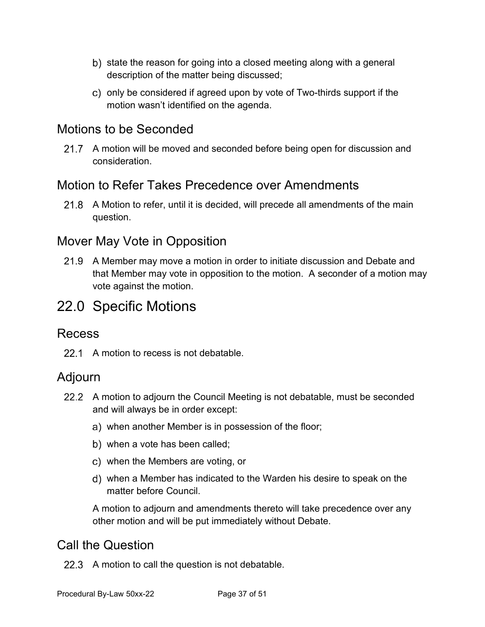- b) state the reason for going into a closed meeting along with a general description of the matter being discussed;
- c) only be considered if agreed upon by vote of Two-thirds support if the motion wasn't identified on the agenda.

### <span id="page-35-0"></span>Motions to be Seconded

21.7 A motion will be moved and seconded before being open for discussion and consideration.

### <span id="page-35-1"></span>Motion to Refer Takes Precedence over Amendments

21.8 A Motion to refer, until it is decided, will precede all amendments of the main question.

### <span id="page-35-2"></span>Mover May Vote in Opposition

21.9 A Member may move a motion in order to initiate discussion and Debate and that Member may vote in opposition to the motion. A seconder of a motion may vote against the motion.

# <span id="page-35-3"></span>22.0 Specific Motions

#### <span id="page-35-4"></span>Recess

22.1 A motion to recess is not debatable.

#### <span id="page-35-5"></span>Adjourn

- A motion to adjourn the Council Meeting is not debatable, must be seconded and will always be in order except:
	- when another Member is in possession of the floor;
	- when a vote has been called;
	- when the Members are voting, or
	- when a Member has indicated to the Warden his desire to speak on the matter before Council.

A motion to adjourn and amendments thereto will take precedence over any other motion and will be put immediately without Debate.

### <span id="page-35-6"></span>Call the Question

22.3 A motion to call the question is not debatable.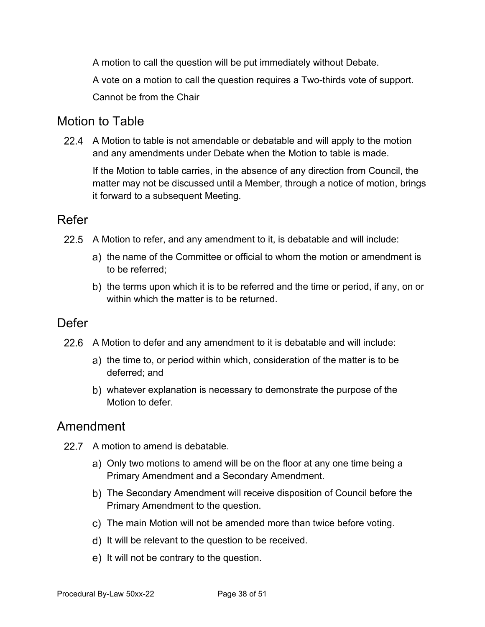A motion to call the question will be put immediately without Debate. A vote on a motion to call the question requires a Two-thirds vote of support. Cannot be from the Chair

### <span id="page-36-0"></span>Motion to Table

A Motion to table is not amendable or debatable and will apply to the motion and any amendments under Debate when the Motion to table is made.

If the Motion to table carries, in the absence of any direction from Council, the matter may not be discussed until a Member, through a notice of motion, brings it forward to a subsequent Meeting.

#### <span id="page-36-1"></span>Refer

- 22.5 A Motion to refer, and any amendment to it, is debatable and will include:
	- a) the name of the Committee or official to whom the motion or amendment is to be referred;
	- b) the terms upon which it is to be referred and the time or period, if any, on or within which the matter is to be returned.

#### <span id="page-36-2"></span>Defer

- 22.6 A Motion to defer and any amendment to it is debatable and will include:
	- a) the time to, or period within which, consideration of the matter is to be deferred; and
	- whatever explanation is necessary to demonstrate the purpose of the Motion to defer

#### <span id="page-36-3"></span>Amendment

- 22.7 A motion to amend is debatable.
	- a) Only two motions to amend will be on the floor at any one time being a Primary Amendment and a Secondary Amendment.
	- The Secondary Amendment will receive disposition of Council before the Primary Amendment to the question.
	- c) The main Motion will not be amended more than twice before voting.
	- d) It will be relevant to the question to be received.
	- e) It will not be contrary to the question.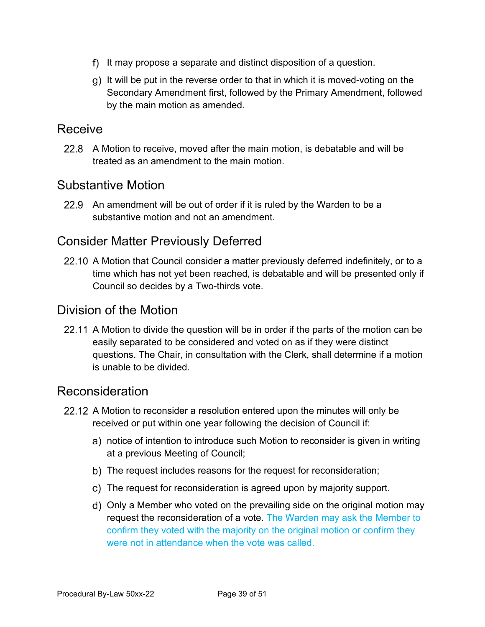- f) It may propose a separate and distinct disposition of a question.
- It will be put in the reverse order to that in which it is moved-voting on the Secondary Amendment first, followed by the Primary Amendment, followed by the main motion as amended.

#### <span id="page-37-0"></span>Receive

22.8 A Motion to receive, moved after the main motion, is debatable and will be treated as an amendment to the main motion.

#### <span id="page-37-1"></span>Substantive Motion

22.9 An amendment will be out of order if it is ruled by the Warden to be a substantive motion and not an amendment.

### <span id="page-37-2"></span>Consider Matter Previously Deferred

22.10 A Motion that Council consider a matter previously deferred indefinitely, or to a time which has not yet been reached, is debatable and will be presented only if Council so decides by a Two-thirds vote.

#### <span id="page-37-3"></span>Division of the Motion

22.11 A Motion to divide the question will be in order if the parts of the motion can be easily separated to be considered and voted on as if they were distinct questions. The Chair, in consultation with the Clerk, shall determine if a motion is unable to be divided.

#### <span id="page-37-4"></span>Reconsideration

- 22.12 A Motion to reconsider a resolution entered upon the minutes will only be received or put within one year following the decision of Council if:
	- a) notice of intention to introduce such Motion to reconsider is given in writing at a previous Meeting of Council;
	- b) The request includes reasons for the request for reconsideration;
	- The request for reconsideration is agreed upon by majority support.
	- Only a Member who voted on the prevailing side on the original motion may request the reconsideration of a vote. The Warden may ask the Member to confirm they voted with the majority on the original motion or confirm they were not in attendance when the vote was called.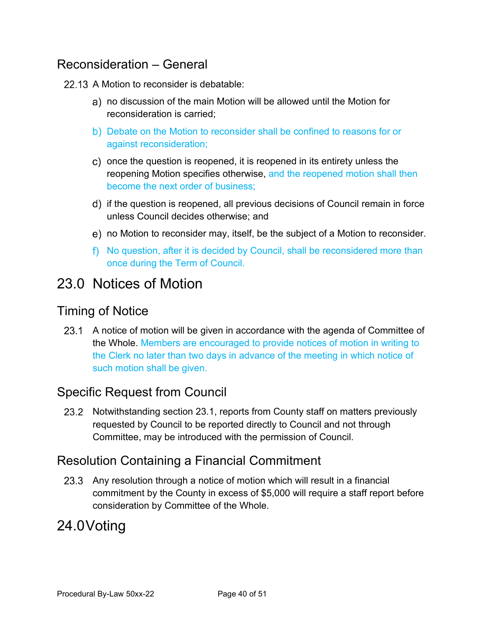### <span id="page-38-0"></span>Reconsideration – General

#### 22.13 A Motion to reconsider is debatable:

- no discussion of the main Motion will be allowed until the Motion for reconsideration is carried;
- b) Debate on the Motion to reconsider shall be confined to reasons for or against reconsideration;
- c) once the question is reopened, it is reopened in its entirety unless the reopening Motion specifies otherwise, and the reopened motion shall then become the next order of business;
- d) if the question is reopened, all previous decisions of Council remain in force unless Council decides otherwise; and
- no Motion to reconsider may, itself, be the subject of a Motion to reconsider.
- f) No question, after it is decided by Council, shall be reconsidered more than once during the Term of Council.

# <span id="page-38-1"></span>23.0 Notices of Motion

#### <span id="page-38-2"></span>Timing of Notice

23.1 A notice of motion will be given in accordance with the agenda of Committee of the Whole. Members are encouraged to provide notices of motion in writing to the Clerk no later than two days in advance of the meeting in which notice of such motion shall be given.

### <span id="page-38-3"></span>Specific Request from Council

23.2 Notwithstanding section 23.1, reports from County staff on matters previously requested by Council to be reported directly to Council and not through Committee, may be introduced with the permission of Council.

### <span id="page-38-4"></span>Resolution Containing a Financial Commitment

23.3 Any resolution through a notice of motion which will result in a financial commitment by the County in excess of \$5,000 will require a staff report before consideration by Committee of the Whole.

# 24.0Voting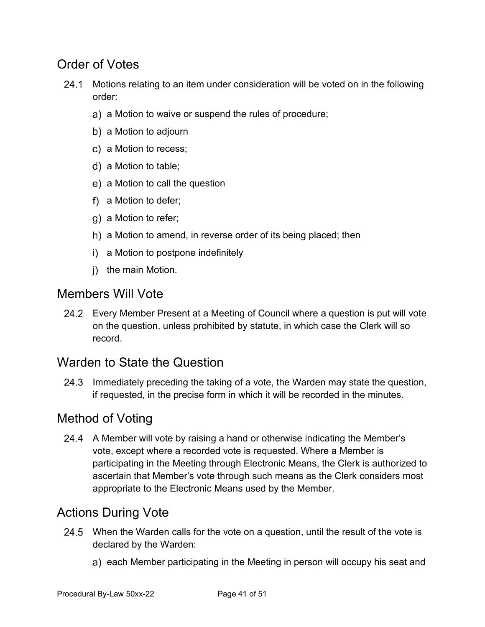### <span id="page-39-0"></span>Order of Votes

- 24.1 Motions relating to an item under consideration will be voted on in the following order:
	- a) a Motion to waive or suspend the rules of procedure;
	- b) a Motion to adjourn
	- c) a Motion to recess:
	- a Motion to table;
	- e) a Motion to call the question
	- f) a Motion to defer;
	- g) a Motion to refer;
	- h) a Motion to amend, in reverse order of its being placed; then
	- i) a Motion to postpone indefinitely
	- i) the main Motion.

#### <span id="page-39-1"></span>Members Will Vote

Every Member Present at a Meeting of Council where a question is put will vote on the question, unless prohibited by statute, in which case the Clerk will so record.

### <span id="page-39-2"></span>Warden to State the Question

24.3 Immediately preceding the taking of a vote, the Warden may state the question, if requested, in the precise form in which it will be recorded in the minutes.

### <span id="page-39-3"></span>Method of Voting

24.4 A Member will vote by raising a hand or otherwise indicating the Member's vote, except where a recorded vote is requested. Where a Member is participating in the Meeting through Electronic Means, the Clerk is authorized to ascertain that Member's vote through such means as the Clerk considers most appropriate to the Electronic Means used by the Member.

### <span id="page-39-4"></span>Actions During Vote

- 24.5 When the Warden calls for the vote on a question, until the result of the vote is declared by the Warden:
	- a) each Member participating in the Meeting in person will occupy his seat and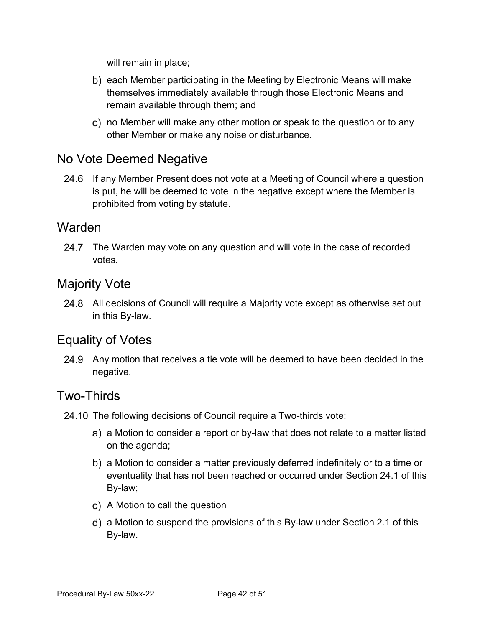will remain in place;

- b) each Member participating in the Meeting by Electronic Means will make themselves immediately available through those Electronic Means and remain available through them; and
- no Member will make any other motion or speak to the question or to any other Member or make any noise or disturbance.

#### <span id="page-40-0"></span>No Vote Deemed Negative

24.6 If any Member Present does not vote at a Meeting of Council where a question is put, he will be deemed to vote in the negative except where the Member is prohibited from voting by statute.

#### <span id="page-40-1"></span>Warden

24.7 The Warden may vote on any question and will vote in the case of recorded votes.

### <span id="page-40-2"></span>Majority Vote

24.8 All decisions of Council will require a Majority vote except as otherwise set out in this By-law.

#### <span id="page-40-3"></span>Equality of Votes

Any motion that receives a tie vote will be deemed to have been decided in the negative.

#### <span id="page-40-4"></span>Two-Thirds

- 24.10 The following decisions of Council require a Two-thirds vote:
	- a) a Motion to consider a report or by-law that does not relate to a matter listed on the agenda;
	- a Motion to consider a matter previously deferred indefinitely or to a time or eventuality that has not been reached or occurred under Section 24.1 of this By-law;
	- c) A Motion to call the question
	- a Motion to suspend the provisions of this By-law under Section 2.1 of this By-law.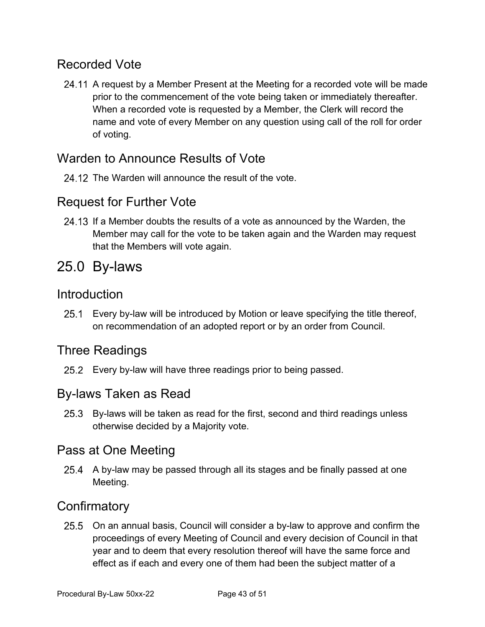### <span id="page-41-0"></span>Recorded Vote

24.11 A request by a Member Present at the Meeting for a recorded vote will be made prior to the commencement of the vote being taken or immediately thereafter. When a recorded vote is requested by a Member, the Clerk will record the name and vote of every Member on any question using call of the roll for order of voting.

### <span id="page-41-1"></span>Warden to Announce Results of Vote

24.12. The Warden will announce the result of the vote.

#### <span id="page-41-2"></span>Request for Further Vote

24.13 If a Member doubts the results of a vote as announced by the Warden, the Member may call for the vote to be taken again and the Warden may request that the Members will vote again.

# <span id="page-41-3"></span>25.0 By-laws

#### <span id="page-41-4"></span>**Introduction**

Every by-law will be introduced by Motion or leave specifying the title thereof, on recommendation of an adopted report or by an order from Council.

### <span id="page-41-5"></span>Three Readings

25.2 Every by-law will have three readings prior to being passed.

#### <span id="page-41-6"></span>By-laws Taken as Read

25.3 By-laws will be taken as read for the first, second and third readings unless otherwise decided by a Majority vote.

#### <span id="page-41-7"></span>Pass at One Meeting

25.4 A by-law may be passed through all its stages and be finally passed at one Meeting.

### <span id="page-41-8"></span>**Confirmatory**

25.5 On an annual basis, Council will consider a by-law to approve and confirm the proceedings of every Meeting of Council and every decision of Council in that year and to deem that every resolution thereof will have the same force and effect as if each and every one of them had been the subject matter of a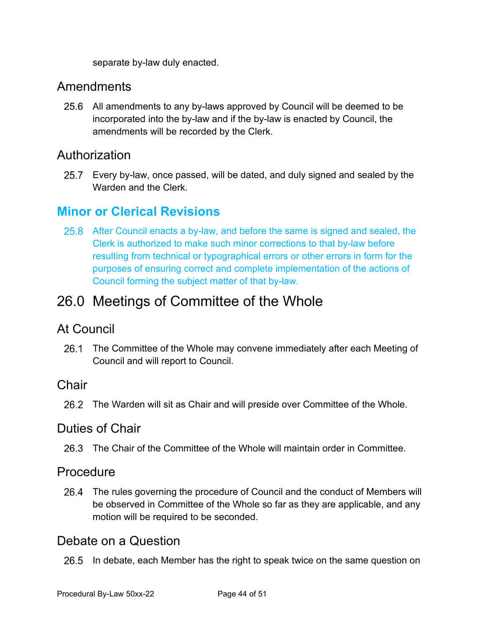separate by-law duly enacted.

#### <span id="page-42-0"></span>Amendments

All amendments to any by-laws approved by Council will be deemed to be incorporated into the by-law and if the by-law is enacted by Council, the amendments will be recorded by the Clerk.

### <span id="page-42-1"></span>Authorization

Every by-law, once passed, will be dated, and duly signed and sealed by the Warden and the Clerk.

### <span id="page-42-2"></span>**Minor or Clerical Revisions**

After Council enacts a by-law, and before the same is signed and sealed, the Clerk is authorized to make such minor corrections to that by-law before resulting from technical or typographical errors or other errors in form for the purposes of ensuring correct and complete implementation of the actions of Council forming the subject matter of that by-law.

# <span id="page-42-3"></span>26.0 Meetings of Committee of the Whole

#### <span id="page-42-4"></span>At Council

26.1 The Committee of the Whole may convene immediately after each Meeting of Council and will report to Council.

#### <span id="page-42-5"></span>Chair

26.2 The Warden will sit as Chair and will preside over Committee of the Whole.

#### <span id="page-42-6"></span>Duties of Chair

The Chair of the Committee of the Whole will maintain order in Committee.

#### <span id="page-42-7"></span>**Procedure**

26.4 The rules governing the procedure of Council and the conduct of Members will be observed in Committee of the Whole so far as they are applicable, and any motion will be required to be seconded.

#### <span id="page-42-8"></span>Debate on a Question

26.5 In debate, each Member has the right to speak twice on the same question on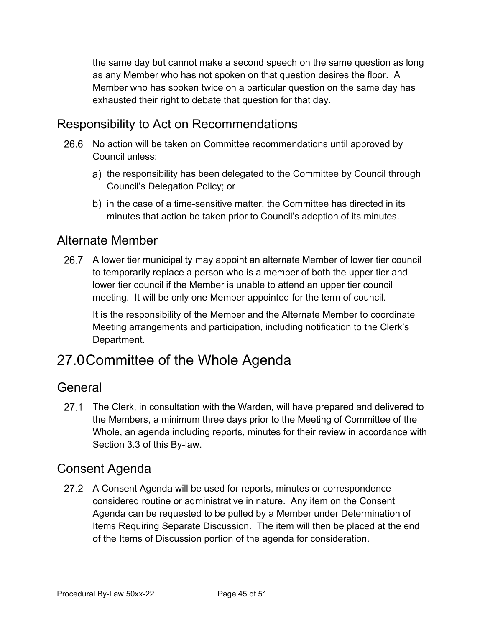the same day but cannot make a second speech on the same question as long as any Member who has not spoken on that question desires the floor. A Member who has spoken twice on a particular question on the same day has exhausted their right to debate that question for that day.

### <span id="page-43-0"></span>Responsibility to Act on Recommendations

- 26.6 No action will be taken on Committee recommendations until approved by Council unless:
	- a) the responsibility has been delegated to the Committee by Council through Council's Delegation Policy; or
	- b) in the case of a time-sensitive matter, the Committee has directed in its minutes that action be taken prior to Council's adoption of its minutes.

#### <span id="page-43-1"></span>Alternate Member

26.7 A lower tier municipality may appoint an alternate Member of lower tier council to temporarily replace a person who is a member of both the upper tier and lower tier council if the Member is unable to attend an upper tier council meeting. It will be only one Member appointed for the term of council.

It is the responsibility of the Member and the Alternate Member to coordinate Meeting arrangements and participation, including notification to the Clerk's Department.

# 27.0Committee of the Whole Agenda

#### <span id="page-43-2"></span>General

27.1 The Clerk, in consultation with the Warden, will have prepared and delivered to the Members, a minimum three days prior to the Meeting of Committee of the Whole, an agenda including reports, minutes for their review in accordance with Section 3.3 of this By-law.

#### <span id="page-43-3"></span>Consent Agenda

27.2 A Consent Agenda will be used for reports, minutes or correspondence considered routine or administrative in nature. Any item on the Consent Agenda can be requested to be pulled by a Member under Determination of Items Requiring Separate Discussion. The item will then be placed at the end of the Items of Discussion portion of the agenda for consideration.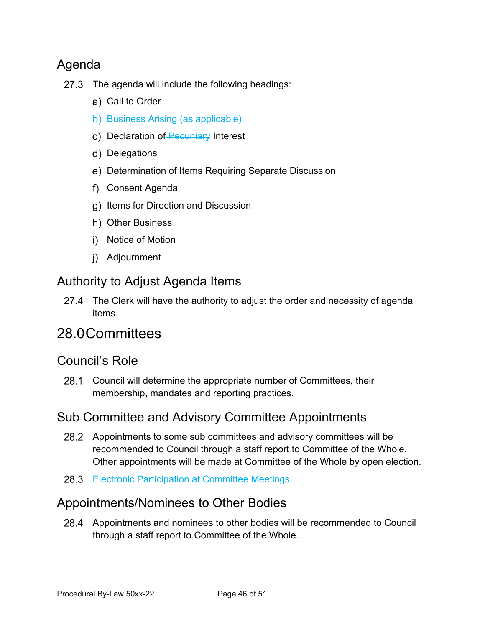### <span id="page-44-0"></span>Agenda

- $27.3$  The agenda will include the following headings:
	- a) Call to Order
	- b) Business Arising (as applicable)
	- c) Declaration of Pecuniary Interest
	- d) Delegations
	- Determination of Items Requiring Separate Discussion
	- Consent Agenda
	- g) Items for Direction and Discussion
	- h) Other Business
	- i) Notice of Motion
	- Adjournment

#### <span id="page-44-1"></span>Authority to Adjust Agenda Items

27.4 The Clerk will have the authority to adjust the order and necessity of agenda items.

# 28.0Committees

#### <span id="page-44-2"></span>Council's Role

Council will determine the appropriate number of Committees, their membership, mandates and reporting practices.

#### <span id="page-44-3"></span>Sub Committee and Advisory Committee Appointments

- 28.2 Appointments to some sub committees and advisory committees will be recommended to Council through a staff report to Committee of the Whole. Other appointments will be made at Committee of the Whole by open election.
- 28.3 Electronic Participation at Committee Meetings

#### <span id="page-44-4"></span>Appointments/Nominees to Other Bodies

Appointments and nominees to other bodies will be recommended to Council through a staff report to Committee of the Whole.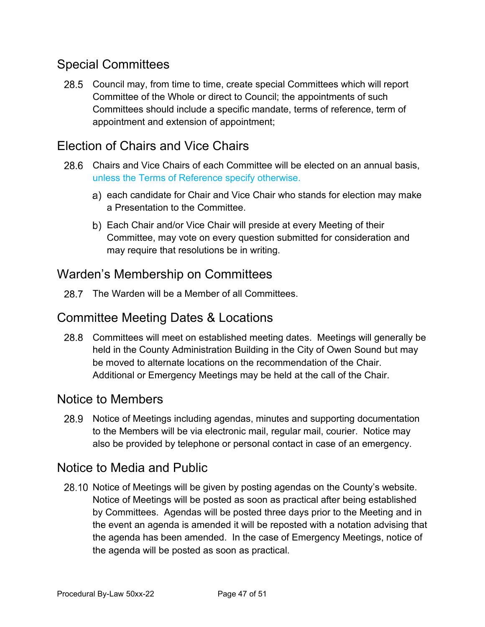### <span id="page-45-0"></span>Special Committees

28.5 Council may, from time to time, create special Committees which will report Committee of the Whole or direct to Council; the appointments of such Committees should include a specific mandate, terms of reference, term of appointment and extension of appointment;

### <span id="page-45-1"></span>Election of Chairs and Vice Chairs

- Chairs and Vice Chairs of each Committee will be elected on an annual basis, unless the Terms of Reference specify otherwise.
	- a) each candidate for Chair and Vice Chair who stands for election may make a Presentation to the Committee.
	- b) Each Chair and/or Vice Chair will preside at every Meeting of their Committee, may vote on every question submitted for consideration and may require that resolutions be in writing.

### <span id="page-45-2"></span>Warden's Membership on Committees

28.7 The Warden will be a Member of all Committees.

### <span id="page-45-3"></span>Committee Meeting Dates & Locations

Committees will meet on established meeting dates. Meetings will generally be held in the County Administration Building in the City of Owen Sound but may be moved to alternate locations on the recommendation of the Chair. Additional or Emergency Meetings may be held at the call of the Chair.

#### <span id="page-45-4"></span>Notice to Members

28.9 Notice of Meetings including agendas, minutes and supporting documentation to the Members will be via electronic mail, regular mail, courier. Notice may also be provided by telephone or personal contact in case of an emergency.

#### <span id="page-45-5"></span>Notice to Media and Public

28.10 Notice of Meetings will be given by posting agendas on the County's website. Notice of Meetings will be posted as soon as practical after being established by Committees. Agendas will be posted three days prior to the Meeting and in the event an agenda is amended it will be reposted with a notation advising that the agenda has been amended. In the case of Emergency Meetings, notice of the agenda will be posted as soon as practical.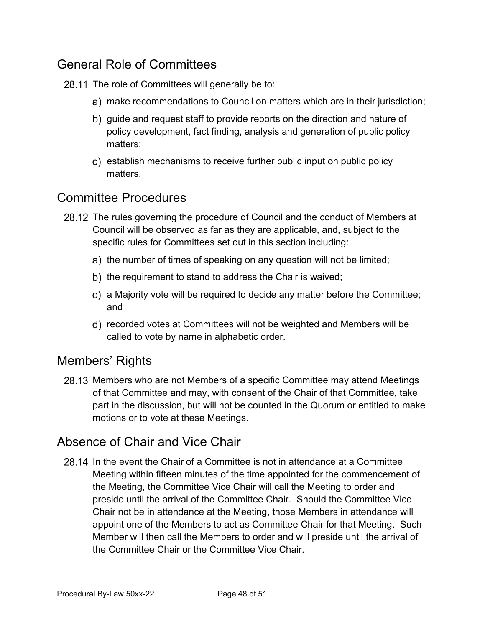### <span id="page-46-0"></span>General Role of Committees

28.11 The role of Committees will generally be to:

- make recommendations to Council on matters which are in their jurisdiction;
- b) guide and request staff to provide reports on the direction and nature of policy development, fact finding, analysis and generation of public policy matters;
- c) establish mechanisms to receive further public input on public policy matters.

#### <span id="page-46-1"></span>Committee Procedures

- 28.12 The rules governing the procedure of Council and the conduct of Members at Council will be observed as far as they are applicable, and, subject to the specific rules for Committees set out in this section including:
	- a) the number of times of speaking on any question will not be limited;
	- b) the requirement to stand to address the Chair is waived;
	- a Majority vote will be required to decide any matter before the Committee; and
	- recorded votes at Committees will not be weighted and Members will be called to vote by name in alphabetic order.

### <span id="page-46-2"></span>Members' Rights

28.13 Members who are not Members of a specific Committee may attend Meetings of that Committee and may, with consent of the Chair of that Committee, take part in the discussion, but will not be counted in the Quorum or entitled to make motions or to vote at these Meetings.

### <span id="page-46-3"></span>Absence of Chair and Vice Chair

28.14 In the event the Chair of a Committee is not in attendance at a Committee Meeting within fifteen minutes of the time appointed for the commencement of the Meeting, the Committee Vice Chair will call the Meeting to order and preside until the arrival of the Committee Chair. Should the Committee Vice Chair not be in attendance at the Meeting, those Members in attendance will appoint one of the Members to act as Committee Chair for that Meeting. Such Member will then call the Members to order and will preside until the arrival of the Committee Chair or the Committee Vice Chair.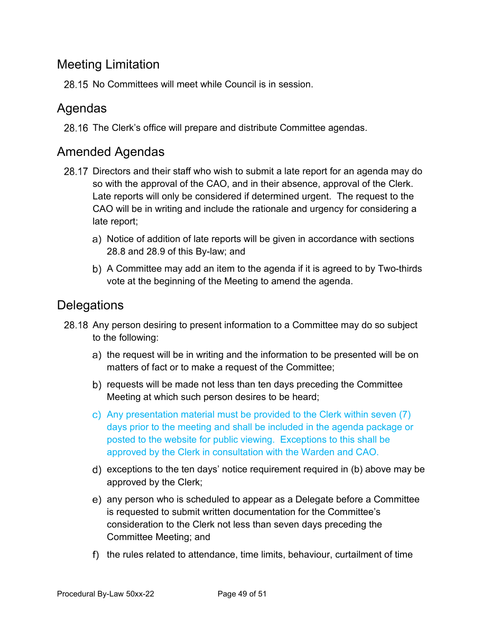### <span id="page-47-0"></span>Meeting Limitation

28.15 No Committees will meet while Council is in session.

#### <span id="page-47-1"></span>Agendas

28.16 The Clerk's office will prepare and distribute Committee agendas.

#### <span id="page-47-2"></span>Amended Agendas

- 28.17 Directors and their staff who wish to submit a late report for an agenda may do so with the approval of the CAO, and in their absence, approval of the Clerk. Late reports will only be considered if determined urgent. The request to the CAO will be in writing and include the rationale and urgency for considering a late report;
	- a) Notice of addition of late reports will be given in accordance with sections 28.8 and 28.9 of this By-law; and
	- b) A Committee may add an item to the agenda if it is agreed to by Two-thirds vote at the beginning of the Meeting to amend the agenda.

### <span id="page-47-3"></span>**Delegations**

- 28.18 Any person desiring to present information to a Committee may do so subject to the following:
	- a) the request will be in writing and the information to be presented will be on matters of fact or to make a request of the Committee;
	- b) requests will be made not less than ten days preceding the Committee Meeting at which such person desires to be heard;
	- Any presentation material must be provided to the Clerk within seven (7) days prior to the meeting and shall be included in the agenda package or posted to the website for public viewing. Exceptions to this shall be approved by the Clerk in consultation with the Warden and CAO.
	- d) exceptions to the ten days' notice requirement required in (b) above may be approved by the Clerk;
	- any person who is scheduled to appear as a Delegate before a Committee is requested to submit written documentation for the Committee's consideration to the Clerk not less than seven days preceding the Committee Meeting; and
	- f) the rules related to attendance, time limits, behaviour, curtailment of time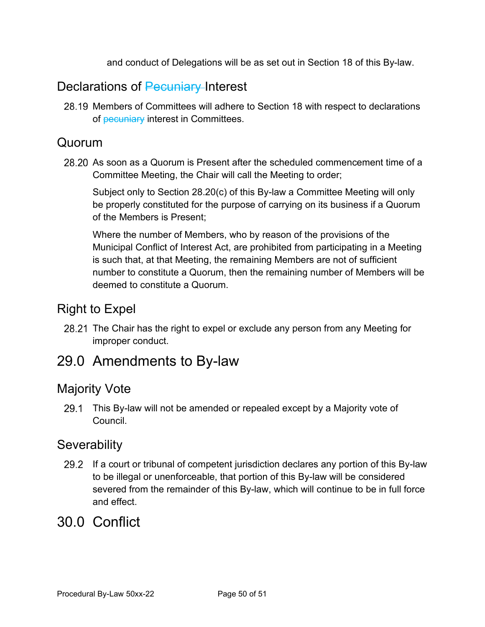and conduct of Delegations will be as set out in Section 18 of this By-law.

### <span id="page-48-0"></span>Declarations of Pecuniary Interest

28.19 Members of Committees will adhere to Section 18 with respect to declarations of pecuniary interest in Committees.

#### <span id="page-48-1"></span>Quorum

28.20 As soon as a Quorum is Present after the scheduled commencement time of a Committee Meeting, the Chair will call the Meeting to order;

Subject only to Section 28.20(c) of this By-law a Committee Meeting will only be properly constituted for the purpose of carrying on its business if a Quorum of the Members is Present;

Where the number of Members, who by reason of the provisions of the Municipal Conflict of Interest Act, are prohibited from participating in a Meeting is such that, at that Meeting, the remaining Members are not of sufficient number to constitute a Quorum, then the remaining number of Members will be deemed to constitute a Quorum.

### <span id="page-48-2"></span>Right to Expel

28.21 The Chair has the right to expel or exclude any person from any Meeting for improper conduct.

### <span id="page-48-3"></span>29.0 Amendments to By-law

#### <span id="page-48-4"></span>Majority Vote

29.1 This By-law will not be amended or repealed except by a Majority vote of Council.

### <span id="page-48-5"></span>**Severability**

29.2 If a court or tribunal of competent jurisdiction declares any portion of this By-law to be illegal or unenforceable, that portion of this By-law will be considered severed from the remainder of this By-law, which will continue to be in full force and effect.

### <span id="page-48-6"></span>30.0 Conflict